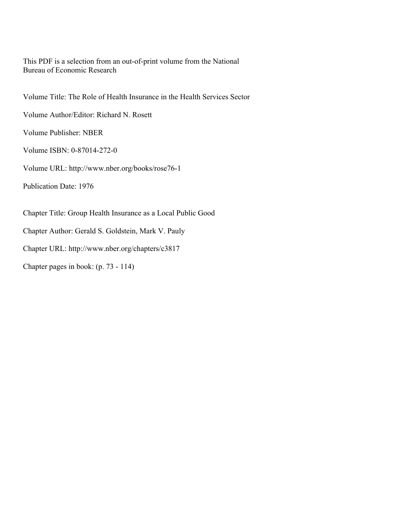This PDF is a selection from an out-of-print volume from the National Bureau of Economic Research

Volume Title: The Role of Health Insurance in the Health Services Sector Volume Author/Editor: Richard N. Rosett Volume Publisher: NBER Volume ISBN: 0-87014-272-0 Volume URL: http://www.nber.org/books/rose76-1 Publication Date: 1976 Chapter Title: Group Health Insurance as a Local Public Good Chapter Author: Gerald S. Goldstein, Mark V. Pauly Chapter URL: http://www.nber.org/chapters/c3817

Chapter pages in book: (p. 73 - 114)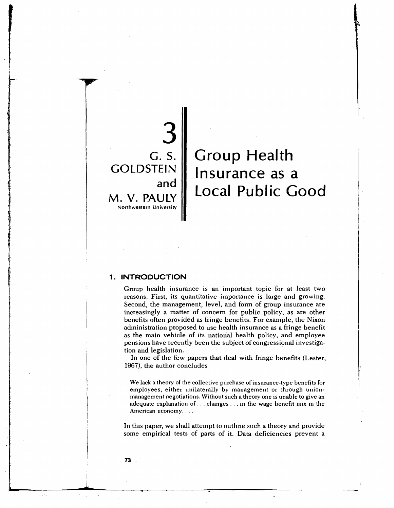### $3 \mid$ G. S. Group Health  $\begin{array}{c} EIN \\ and \end{array}$  Insurance as a M. V. PAULY LOCal Public Good

#### 1. INTRODUCTION

Northwestern University

Group health insurance is an important topic for at least two reasons. First, its quantitative importance is large and growing. Second, the management, level, and form of group insurance are increasingly a matter of concern for public policy, as are other benefits often provided as fringe benefits. For example, the Nixon administration proposed to use health insurance as a fringe benefit as the main vehicle of its national health policy, and employee pensions have recently been the subject of congressional investigation and legislation.

In one of the few papers that deal with fringe benefits (Lester, 1967), the author concludes

We lack a theory of the collective purchase of insurance-type benefits for employees, either unilaterally by management or through unionmanagement negotiations. Without such a theory one is unable to give an adequate explanation of.. . changes. . . in the wage benefit mix in the American economy.

In this paper, we shall attempt to outline such a theory and provide some empirical tests of parts of it. Data deficiencies prevent a

 $\begin{bmatrix} 1 & 1 & 1 \\ 1 & 1 & 1 \\ 1 & 1 & 1 \end{bmatrix}$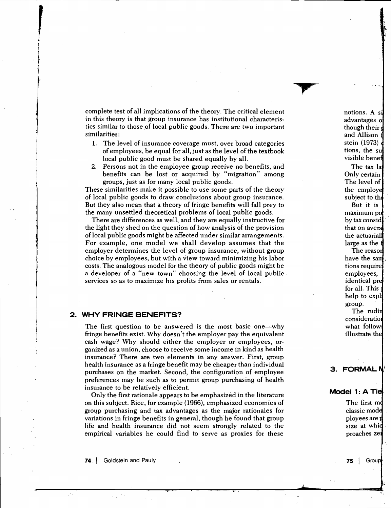complete test of all implications of the theory. The critical element in this theory is that group insurance has institutional characteristics similar to those of local public goods. There are two important similarities: similarities: and Allison and Allison and Allison and Allison and Allison and Allison and Allison and Allison

- 1. The level of insurance coverage must, over broad categories of employees, be equal for all, just as the level of the textbook local public good must be shared equally by all.
- 2. Persons not in the employee group receive no benefits, and benefits can be lost or acquired by "migration" among groups, just as for many local public goods.

These similarities make it possible to use some parts of the theory of local public goods to draw conclusions about group insurance. But they also mean that a theory of fringe benefits will fall prey to the many unsettled theoretical problems of local public goods.

There are differences as well, and they are equally instructive for the light they shed on the question of how analysis of the provision of local public goods might be affected under similar arrangements. For example, one model we shall develop assumes that the employer determines the level of group insurance, without group choice by employees, but with a view toward minimizing his labor costs. The analogous model for the theory of public goods might be a developer of a "new town" choosing the level of local public services so as to maximize his profits from sales or rentals.

#### 2. WHY FRINGE BENEFITS?

The first question to be answered is the most basic one—why fringe benefits exist. Why doesn't the employer pay the equivalent cash wage? Why should either the employer or employees, organized as a union, choose to receive some income in kind as health insurance? There are two elements in any answer. First, group health insurance as a fringe benefit may be cheaper than individual purchases on the market. Second, the configuration of employee preferences may be such as to permit group purchasing of health insurance to be relatively efficient.<br>Only the first rationale appears to be emphasized in the literature

on this subject. Rice, for example (1966), emphasized economies of group purchasing and tax advantages as the major rationales for variations in fringe benefits in general, though he found that group life and health insurance did not seem strongly related to the empirical variables he could find to serve as proxies for these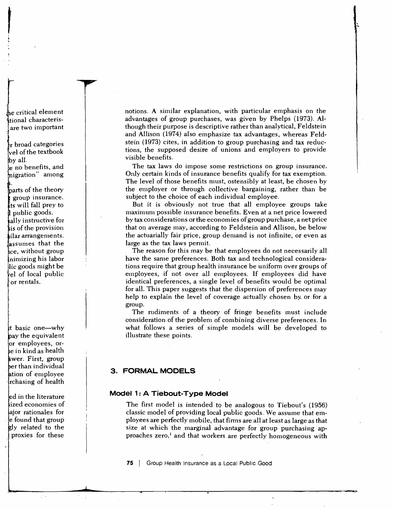notions. A similar explanation, with particular emphasis on the advantages of group purchases, was given by Phelps (1973). Although their purpose is descriptive rather than analytical, Feldstein and Allison (1974) also emphasize tax advantages, whereas Feldstein (1973) cites, in addition to group purchasing and tax reductions, the supposed desire of unions and employers to provide visible benefits.

The tax laws do impose some restrictions on group insurance. Oniy certain kinds of insurance benefits qualify for tax exemption. The level of those benefits must, ostensibly at least, be chosen by the employer or through collective bargaining, rather than be subject to the choice of each individual employee.

But it is obviously not true that all employee groups take maximum possible insurance benefits. Even at a net price lowered by tax considerations or the economies of group purchase, a net price that on average may, according to Feldstein and Allison, be below the actuarially fair price, group demand is not infinite, or even as large as the tax laws permit.

The reason for this may be that employees do not necessarily all have the same preferences. Both tax and technological considerations require that group health insurance be uniform over groups of employees, if not over all employees. If employees did have identical preferences, a single level of benefits would be optimal for all. This paper suggests that the dispersion of preferences may help to explain the level of coverage actually chosen by or for a group.

The rudiments of a theory of fringe benefits must include consideration of the problem of combining diverse preferences. In what follows a series of simple models will be developed to illustrate these points.

#### 3. FORMAL MODELS

 $\mathbf{1}$  $\mathbf{I}$ 

 $\mathbf{I}$ 

 $\mathbf{I}$ 

 $\mathbf{I}$ 

 $\mathbf{I}$  $\mathbf{1}$ nimizing his labor  $\frac{1}{\sqrt{2}}$ 

t basic one—why

 $\epsilon$  in kind as  $\mathbf{F}$ 

 $\mathbf{I}$  $\mathbf{r}$ 

 $\mathbf{I}$  $\vert$  $\frac{1}{1}$ e found that group  $\mathbf{r}$  $\mathbf{I}$ 

ally instructive for  $\mathbf{I}$ 

 $\mathbb{R}$ 

#### Model 1: A Tiebout-Type Model

The first model is intended to be analogous to Tiebout's (1956) classic model of providing local public goods. We assume that employees are perfectly mobile, that firms are all at least as large as that size at which the marginal advantage for group purchasing approaches zero,' and that workers are perfectly homogeneous with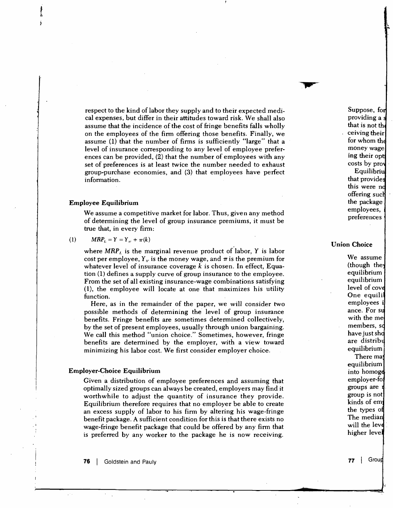respect to the kind of labor they supply and to their expected medical expenses, but differ in their attitudes toward risk. We shall also assume that the incidence of the cost of fringe benefits falls wholly on the employees of the firm offering those benefits. Finally, we assume (1) that the number of firms is sufficiently "large" that a level of insurance corresponding to any level of employee preferences can be provided,  $(2)$  that the number of employees with any set of preferences is at least twice the number needed to exhaust group-purchase economies, and  $(3)$  that employees have perfect  $\mathbf{information.}$ 

#### Employee Equilibrium

r a shekara

We assume a competitive market for labor. Thus, given any method of determining the level of group insurance premiums, it must be true that, in every firm:

$$
(1) \qquad MRP_L = Y = Y_w + \pi(k)
$$

where  $MRP$ , is the marginal revenue product of labor, Y is labor cost per employee,  $Y_{w}$  is the money wage, and  $\pi$  is the premium for whatever level of insurance coverage  $k$  is chosen. In effect, Equation  $(1)$  defines a supply curve of group insurance to the employee. From the set of all existing insurance-wage combinations satisfying  $(1)$ , the employee will locate at one that maximizes his utility  $f(x)$ , the empropriation comes are the maximization.

Here, as in the remainder of the paper, we will consider two possible methods of determining the level of group insurance benefits. Fringe benefits are sometimes determined collectively, by the set of present employees, usually through union bargaining. We call this method "union choice." Sometimes, however, fringe benefits are determined by the employer, with a view toward minimizing his labor cost. We first consider employer choice.

#### Employer-Choice Equilibrium

Given a distribution of employee preferences and assuming that optimally sized groups can always be created, employers may find it worthwhile to adjust the quantity of insurance they provide. Equilibrium therefore requires that no employer be able to create an excess supply of labor to his firm by altering his wage-fringe benefit package. A sufficient condition for this is that there exists no wage-fringe benefit package that could be offered by any firm that is preferred by any worker to the package he is now receiving.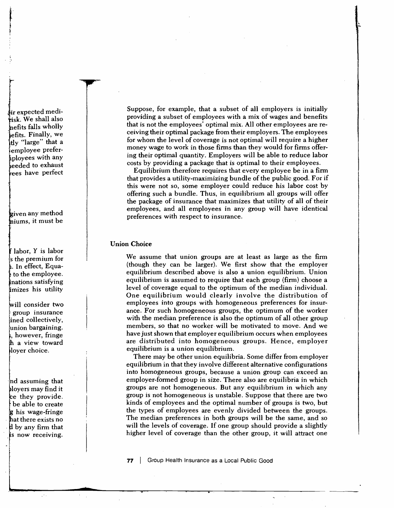Suppose, for example, that a subset of all employers is initially providing a subset of employees with a mix of wages and benefits that is not the employees' optimal mix. All other employees are receiving their optimal package from their employers. The employees for whom the level of coverage is not optimal will require a higher money wage to work in those firms than they would for firms offering their optimal quantity. Employers will be able to reduce labor costs by providing a package that is optimal to their employees.

Equilibrium therefore requires that every employee be in a firm that provides a utility-maximizing bundle of the public good. For if this were not so, some employer could reduce his labor cost by offering such a bundle. Thus, in equilibrium all groups will offer the package of insurance that maximizes that utility of all of their employees, and all employees in any group will have identical preferences with respect to insurance.

#### Union Choice

 $\mathbf{1}$  $\mathcal{F}$  $\parallel$  $\parallel$   $\parallel$ 

 $\mathbf{I}$ 

 $\mathbb{R}^n$  $\mathbf{I}$ 

 $\mathbf{I}$  $\mathbf{r}$ 

 $\mathbf{1}$  $\pm$ there exists no

We assume that union groups are at least as large as the firm (though they can be larger). We first show that the employer equilibrium described above is also a union equilibrium. Union equilibrium is assumed to require that each group (firm) choose a level of coverage equal to the optimum of the median individual. One equilibrium would clearly involve the distribution of employees into groups with homogeneous preferences for insurance. For such homogeneous groups, the optimum of the worker with the median preference is also the optimum of all other group members, so that no worker will be motivated to move. And we have just shown that employer equilibrium occurs when employees are distributed into homogeneous groups. Hence, employer equilibrium is a union equilibrium.

There may be other union equilibria. Some differ from employer equilibrium in that they involve different alternative configurations into homogeneous groups, because a union group can exceed an employer-formed group in size. There also are equilibria in which groups are not homogeneous. But any equilibrium in which any group is not homogeneous is unstable. Suppose that there are two kinds of employees and the optimal number of groups is two, but the types of employees are evenly divided between the groups. The median preferences in both groups will be the same, and so will the levels of coverage. If one group should provide a slightly higher level of coverage than the other group, it will attract one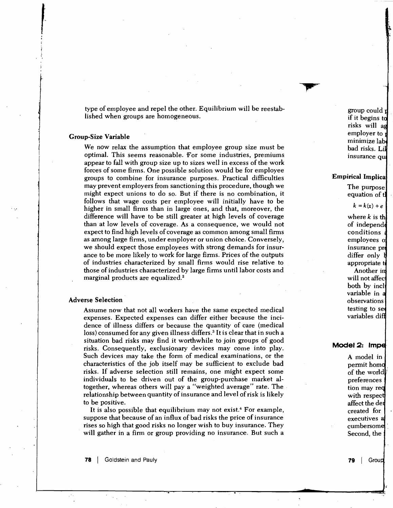type of employee and repel the other. Equilibrium will be reestablished when groups are homogeneous.

#### Group-Size Variable employer to the contract of the contract of the contract of the contract of the contract of

We now relax the assumption that employee group size must be optimal. This seems reasonable. For some industries, premiums appear to fall with group size up to sizes well in excess of the work forces of some firms. One possible solution would be for employee groups to combine for insurance purposes. Practical difficulties may prevent employers from sanctioning this procedure, though we might expect unions to do so. But if there is no combination, it follows that wage costs per employee will initially have to be higher in small firms than in large ones, and that, moreover, the difference will have to be still greater at high levels of coverage than at low levels of coverage. As a consequence, we would not expect to find high levels of coverage as common among small firms as among large firms, under employer or union choice. Conversely, we should expect those employees with strong demands for insurance to be more likely to work for large firms. Prices of the outputs of industries characterized by small firms would rise relative to those of industries characterized by large firms until labor costs and marginal products are equalized.<sup>2</sup>

#### Adverse Selection

Assume now that not all workers have the same expected medical expenses. Expected expenses can differ either because the incidence of illness differs or because the quantity of care (medical loss) consumed for any given illness differs.<sup>3</sup> It is clear that in such a situation bad risks may find it worthwhile to join groups of good risks. Consequently, exclusionary devices may come into play. Such devices may take the form of medical examinations, or the characteristics of the job itself may be sufficient to exclude bad risks. If adverse selection still remains, one might expect some individuals to be driven out of the group-purchase market altogether, whereas others will pay a "weighted average" rate. The relationship between quantity of insurance and level of risk is likely to be positive. to be positive.  $\blacksquare$ 

It is also possible that equilibrium may not exist.<sup>4</sup> For example, suppose that because of an influx of bad risks the price of insurance rises so high that good risks no longer wish to buy insurance. They will gather in a firm or group providing no insurance. But such a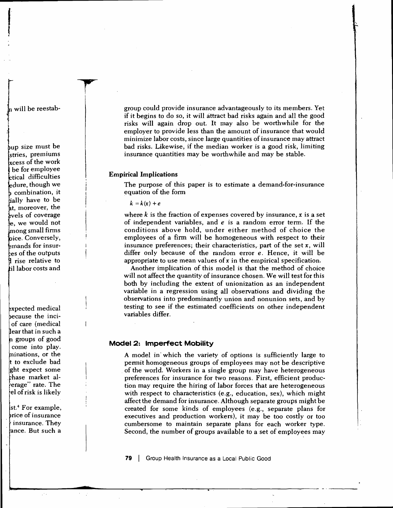group could provide insurance advantageously to its members. Yet if it begins to do so, it will attract bad risks again and all the good risks will again drop out. It may also be worthwhile for the employer to provide less than the amount of insurance that would minimize labor costs, since large quantities of insurance may attract bad risks. Likewise, if the median worker is a good risk, limiting insurance quantities may be worthwhile and may be stable.

#### Empirical Implications

 $\mathbf{r}$  $\vert$  $\mathbf{I}$  $\mathbf{f}$ difficulties  $\ddot{\phantom{a}}$ 

 $\mathbf{I}$  $\frac{1}{\epsilon}$ .  $\Gamma$ 

es of the outputs rise relative to

 $\mathbf{t}$  $\mathbb{R}$ 

 $\overline{\phantom{a}}$ 

 $\frac{1}{2}$  $\epsilon$ 

insurance. They  $\Box$ 

The purpose of this paper is to estimate a demand-for-insurance equation of the form

$$
k=k(x)+e
$$

where k is the fraction of expenses covered by insurance, x is a set of independent variables, and  $e$  is a random error term. If the conditions above hold, under either method of choice the employees of a firm will be homogeneous with respect to their insurance preferences; their characteristics, part of the set  $x$ , will differ only because of the random error e. Hence, it will be appropriate to use mean values of  $x$  in the empirical specification.

Another implication of this model is that the method of choice will not affect the quantity of insurance chosen. We will test for this both by including the extent of unionization as an independent variable in a regression using all observations and dividing the observations into predominantly union and nonunion sets, and by testing to see if the estimated coefficients on other independent variables differ.

#### Model 2: Imperfect Mobility

A model in which the variety of options is sufficiently large to permit homogeneous groups of employees may not be descriptive of the world. Workers in a single group may have heterogeneous preferences for insurance for two reasons. First, efficient production may require the hiring of labor forces that are heterogeneous with respect to characteristics (e.g., education, sex), which might affect the demand for insurance. Although separate groups might be created for some kinds of employees (e.g., separate plans for executives and production workers), it may be too costly or too cumbersome to maintain separate plans for each worker type. Second, the number of groups available to a set of employees may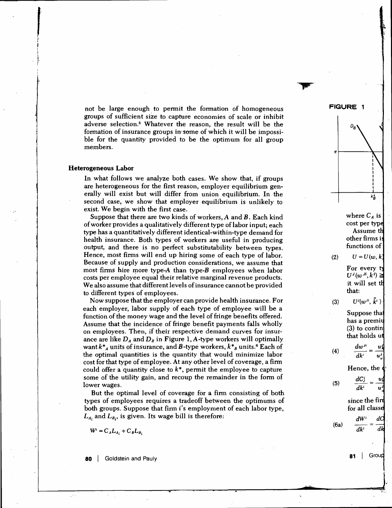not be large enough to permit the formation of homogeneous groups of sufficient size to capture economies of scale or inhibit adverse selection.<sup>5</sup> Whatever the reason, the result will be the formation of insurance groups in-some of which it will be impossible for the quantity provided to be the optimum for all group members.

#### Heterogeneous Labor

In what follows we analyze both cases. We show that, if groups are heterogeneous for the first reason, employer equilibrium generally will exist but will differ from union equilibrium. In the second case, we show that employer equilibrium is unlikely to exist. We begin with the first case.

Suppose that there are two kinds of workers,  $A$  and  $B$ . Each kind of worker provides a qualitatively different type of labor input; each type has a quantitatively different identical-within-type demand for health insurance. Both types of workers are useful in producing output, and there is no perfect substitutability between types. Hence, most firms will end up hiring some of each type of labor. Because of supply and production considerations, we assume that most firms hire more type-A than type-B employees when labor costs per employee equal their relative marginal revenue products. We also assume that different levels of insurance cannot be provided to different types of employees.

Now suppose that the employer can provide health insurance. For each employer, labor supply of each type of employee will be a function of the money wage and the level of fringe benefits offered. Assume that the incidence of fringe benefit payments falls wholly on employees. Then, if their respective demand curves for insurance are like  $D_A$  and  $D_B$  in Figure 1, A-type workers will optimally want  $k^*$ <sub>A</sub> units of insurance, and B-type workers,  $k^*$ <sub>B</sub> units.<sup>6</sup> Each of the optimal quantities is the quantity that would minimize labor cost for that type of employee. At any other level of coverage, a firm could offer a quantity close to  $k^*$ , permit the employee to capture some of the utility gain, and recoup the remainder in the form of lower wages.

But the optimal level of coverage for a firm consisting of both types of employees requires a tradeoff between the optimums of both groups. Suppose that firm *i*'s employment of each labor type,  $L_{A_i}$  and  $L_{B_i}$ , is given. Its wage bill is therefore:

 $W^i = C_A L_{A_i} + C_B L_{B_i}$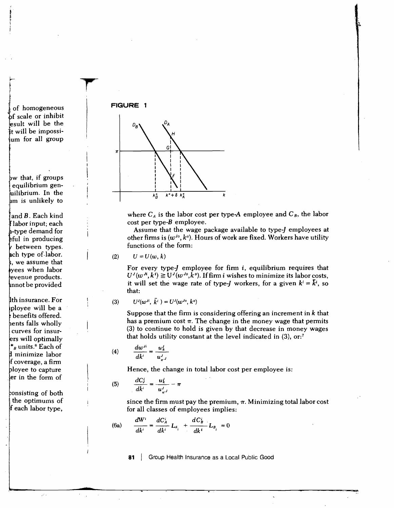

 $\mathcal{L}$ 

 $\pm$ 

urn for all group

 $\ddot{ }$  :

uilibriurn. In the rn is unlikely to

 $\alpha$  $\mathcal{A}$ 

ful in producing

ployee will be a

 $\pm$ 

f coverage, a firm  $\perp$ 

onsisting of both



where  $C_A$  is the labor cost per type-A employee and  $C_B$ , the labor cost per type-B employee.

Assume that the wage package available to type-f employees at other firms is  $(w^{j_0}, k^0)$ . Hours of work are fixed. Workers have utility functions of the form:

$$
(2) \qquad U = U(w, k)
$$

For every type-*J* employee for firm *i*, equilibrium requires that  $U^{j}(w^{ji}, k^{i}) \ge U^{j}(w^{j0}, k^{o})$ . If firm *i* wishes to minimize its labor costs, it will set the wage rate of type-J workers, for a given  $k' = \overline{k}$ , so that:

(3) 
$$
U^{j}(w^{ji}, \bar{k}^{i}) = U^{j}(w^{j}{}^{o}, k^{o})
$$

Suppose that the firm is considering offering an increment in  $k$  that has a premium cost  $\pi$ . The change in the money wage that permits (3) to continue to hold is given by that decrease in money wages that holds utility constant at the level indicated in (3), or:7

$$
(4) \qquad \frac{dw^{ji}}{dk^i} = \frac{u_k^j}{u_{k,j}^j}
$$

Hence, the change in total labor cost per employee is:

$$
(5) \qquad \frac{dC_j^i}{dk^i} = \frac{u_k^j}{u_{m,j}^j} - \pi
$$

since the firm must pay the premium,  $\pi$ . Minimizing total labor cost for all classes of employees implies:

(6a) 
$$
\frac{dW^i}{dk^i} = \frac{dC_A^i}{dk^i} L_{A_i} + \frac{dC_B^i}{dk^i} L_{B_i} = 0
$$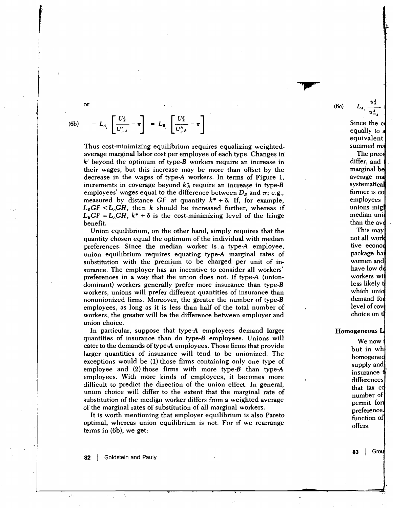(6b) 
$$
-L_{A_i}\left[\frac{U_k^A}{U_{n^A}^A}-\pi\right] = L_{B_i}\left[\frac{U_k^B}{U_{n^B}^B}-\pi\right]
$$

Thus cost-minimizing equilibrium requires equalizing weightedaverage marginal labor cost per employee of each type. Changes in  $k<sup>i</sup>$  beyond the optimum of type-B workers require an increase in their wages, but this increase may be more than offset by the decrease in the wages of type-A workers. In terms of Figure 1, increments in coverage beyond  $k_R^*$  require an increase in type-B employees' wages equal to the difference between  $D_B$  and  $\pi$ ; e.g., measured by distance GF at quantity  $k^* + \delta$ . If, for example,  $L_BGF < L_AGH$ , then k should be increased further, whereas if  $L<sub>B</sub>GF = L<sub>A</sub>GH$ ,  $k^* + \delta$  is the cost-minimizing level of the fringe benefit. than the average of the average of the average of the average of the average of the average of the average of the average of the average of the average of the average of the average of the average of the average o

Union equilibrium, on the other hand, simply requires that the quantity chosen equal the optimum of the individual with median preferences. Since the median worker is a type- $A$  employee, union equilibrium requires equating type-A marginal rates of substitution with the premium to be charged per unit of insurance. The employer has an incentive to consider all workers' preferences in a way that the union does not. If type-A (uniondominant) workers generally prefer more insurance than type- $\bm{B}$ workers, unions will prefer different quantities of insurance than nonunionized firms. Moreover, the greater the number of type- $\bm{B}$ employees, as long as it is less than half of the total number of workers, the greater will be the difference between employer and union choice.

In particular, suppose that type-A employees demand larger quantities of insurance than do type-B employees. Unions will<br>cater to the demands of type-A employees. Those firms that provide<br>larger quantities of insurance will tend to be unionized. The<br>exceptions would be (1) those f

or  $\mathbf{C}$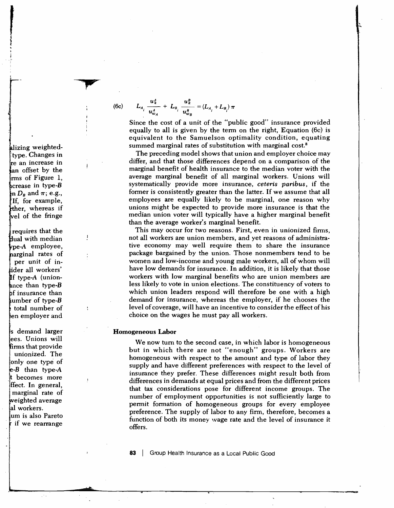(6c)  $L_{A_i} \frac{u_k}{u_A^4} + L_{B_i} \frac{u_k^2}{u_B^2} = (L_{A_i} + L_{B_i}) \pi$ 

Since the cost of a unit of the "public good" insurance provided<br>equally to all is given by the term on the right, Equation (6c) is equivalent to the Samuelson optimality condition, equating summed marginal rates of substitution with marginal cost.<sup>8</sup>

The preceding model shows that union and employer choice may differ, and that those differences depend on a comparison of the marginal benefit of health insurance to the median voter with the average marginal benefit of all marginal workers. Unions will systematically provide more insurance, ceteris paribus, if the former is consistently greater than the latter. If we assume that all employees are equally likely to be marginal, one reason why unions might be expected to provide more insurance is that the median union voter will typically have a higher marginal benefit than the average worker's marginal benefit.

This may occur for two reasons. First, even in unionized firms, not all workers are union members, and yet reasons of administrative economy may well require them to share the insurance package bargained by the union. Those nonmembers tend to be women and low-income and young male workers, all of whom will have low demands for insurance. In addition, it is likely that those workers with low marginal benefits who are union members are less likely to vote in union elections. The constituency of voters to which union leaders respond will therefore be one with a high demand for insurance, whereas the employer, if he chooses the level of coverage, will have an incentive to consider the effect of his choice on the wages he must pay all workers.

#### Homogeneous Labor

We now turn to the second case, in which labor is homogeneous but in which there are not "enough" groups. Workers are homogeneous with respect to the amount and type of labor they supply and have different preferences with respect to the level of insurance they prefer. These differences might result both from differences in demands at equal prices and from the different prices that tax considerations pose for different income groups. The number of employment opportunities is not sufficiently large to permit formation of homogeneous groups for every employee preference. The supply of labor to any firm, therefore, becomes a function of both its money wage rate and the level of insurance it offers.

re an increase in an offset by the

 $\mathcal{L}_{\rm eff}$ 

 $\mathbf{t}$ 

rates of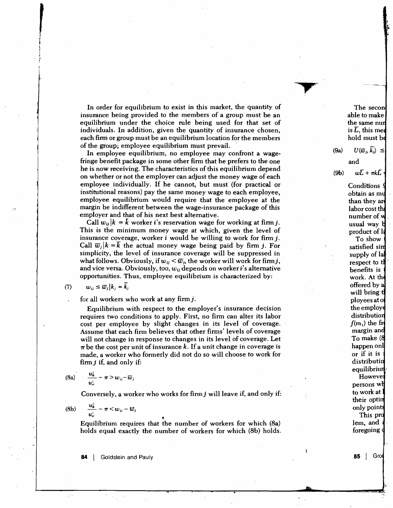In order for equilibrium to exist in this market, the quantity of insurance being provided to the members of a group must be an equilibrium under the choice rule being used for that set of individuals. In addition, given the quantity of insurance chosen, each firm or group must be an equilibrium location for the members of the group; employee equilibrium must prevail.<br>9 — In employee equilibrium, no employee may confront a wage-

fringe benefit package in some other firm that he prefers to the one he is now receiving. The characteristics of this equilibrium depend on whether or not the employer can adjust the money wage of each employee individually. If he cannot, but must (for practical or institutional reasons) pay the same money wage to each employee. employee equilibrium would require that the employee at the margin be indifferent between the wage-insurance package of this employer and that of his next best alternative.<br>Call  $w_{ij}$   $k = \overline{k}$  worker *i*'s reservation wage for working at firm *j*.

This is the minimum money wage at which, given the level of insurance coverage, worker i would be willing to work for firm  $i$ . Call  $\overline{w}_j$   $k = \overline{k}$  the actual money wage being paid by firm *j*. For simplicity, the level of insurance coverage will be suppressed in what follows. Obviously, if  $w_{ij} < \overline{w}_{j}$ , the worker will work for firm *j*, and vice versa. Obviously, too,  $w_{ij}$  depends on worker *i*'s alternative opportunities. Thus, employee equilibrium is characterized by: simplicity, the level of insurance coverage will be suppressed in<br>what follows. Obviously, if  $w_{ij} < \overline{w}_j$ , the worker will work for firm *j*,<br>and vice versa. Obviously, too,  $w_{ij}$  depends on worker *i*'s alternative<br>o

$$
v_{ii} \leq \overline{w}_i |k_i =
$$

for all workers who work at any firm  $j$ .

Equilibrium with respect to the employer's insurance decision requires two conditions to apply. First, no firm can alter its labor cost per employee by slight changes in its level of coverage. Assume that each firm believes that other firms' levels of coverage will not change in response to changes in its level of coverage. Let  $\pi$  be the cost per unit of insurance k. If a unit change in coverage is made, a worker who formerly did not do so will choose to work for firm  $j$  if, and only if:

$$
(8a) \qquad \frac{u_k^i}{u_{ir}^i} - \pi > w_{ij} - \overline{w}_j
$$

Conversely, a worker who works for firm  $j$  will leave if, and only if:

$$
(8b) \qquad \frac{u_k^i}{u_w^i} - \pi < w_{ij} - \overline{w}_j
$$

Equilibrium requires that the number of workers for which  $(8a)$ holds equal exactly the number of workers for which (8b) holds.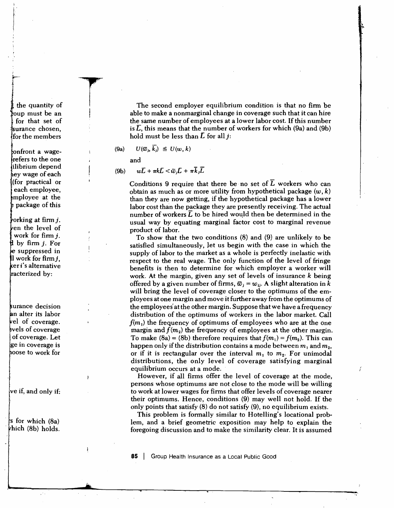The second employer equilibrium condition is that no firm be able to make a nonmarginal change in coverage such that it can hire the same number of employees at a lower labor cost. If this number is  $\overline{L}$ , this means that the number of workers for which (9a) and (9b) hold must be less than  $\bar{L}$  for all j:

$$
(9a) \qquad U(\bar{w}_j, k_j) \leq U(w, k)
$$

and

(9b)

 $\mathcal{A}$ 

refers to the one  $\left| \cdot \right|$  $\mathcal{L}$ 

e suppressed in

 $\frac{1}{2}$ 

I

$$
\omega L + \pi k L < \bar{\omega}_j L + \pi k_j L
$$

Conditions 9 require that there be no set of  $\overline{L}$  workers who can obtain as much as or more utility from hypothetical package  $(w, k)$ than they are now getting, if the hypothetical package has a lower labor cost than the package they are presently receiving. The actual number of workers  $\overline{L}$  to be hired would then be determined in the usual way by equating marginal factor cost to marginal revenue product of labor.

To show that the two conditions (8) and (9) are unlikely to be satisfied simultaneously, let us begin with the case in which the supply of labor to the market as a whole is perfectly inelastic with respect to the real wage. The only function of the level of fringe benefits is then to determine for which employer a worker will work. At the margin, given any set of levels of insurance  $k$  being offered by a given number of firms,  $\bar{w}_j = w_{ij}$ . A slight alteration in k will bring the level of coverage closer to the optimums of the employees at one margin and move it further away from the optimums of the employees at the other margin. Suppose that we have a frequency distribution of the optimums of workers in the labor market. Call  $f(m_1)$  the frequency of optimums of employees who are at the one margin and  $f(m_2)$  the frequency of employees at the other margin. To make (8a) = (8b) therefore requires that  $f(m_1) = f(m_2)$ . This can happen only if the distribution contains a mode between  $m_1$  and  $m_2$ , or if it is rectangular over the interval  $m_1$  to  $m_2$ . For unimodal distributions, the only level of coverage satisfying marginal equilibrium occurs at a mode.

However, if all firms offer the level of coverage at the mode, persons whose optimums are not close to the mode will be willing to work at lower wages for firms that offer levels of coverage nearer their optimums. Hence, conditions (9) may well not hold. If the only points that satisfy (8) do not satisfy (9), no equilibrium exists.

This problem is formally similar to Hotelling's locational problem, and a brief geometric exposition may help to explain the foregoing discussion and to make the similarity clear. It is assumed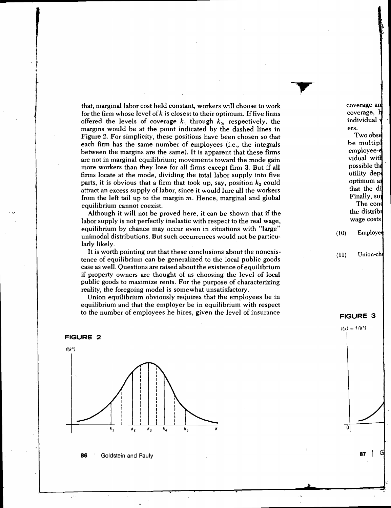that, marginal labor cost held constant, workers will choose to work for the firm whose level of k is closest to their optimum. If five firms offered the levels of coverage  $k_1$  through  $k_5$ , respectively, the margins would be at the point indicated by the dashed lines in Figure 2. For simplicity, these positions have been chosen so that each firm has the same number of employees (i.e., the integrals between the margins are the same). It is apparent that these firms are not in marginal equilibrium; movements toward the mode gain more workers than they lose for all firms except firm 3. But if all firms locate at the mode, dividing the total labor supply into five parts, it is obvious that a firm that took up, say, position  $k_2$  could attract an excess supply of labor, since it would lure all the workers from the left tail up to the margin m. Hence, marginal and global equilibrium cannot coexist.

Although it will not be proved here, it can be shown that if the labor supply is not perfectly inelastic with respect to the real wage, equilibrium by chance may occur even in situations with "large" unimodal distributions. But such occurrences would not be particularly likely.

It is worth pointing out that these conclusions about the nonexistence of equilibrium can be generalized to the local public goods case as well. Questions are raised about the existence of equilibrium if property owners are thought of as choosing the level of local public goods to maximize rents. For the purpose of characterizing reality, the foregoing model is somewhat unsatisfactory.

Union equilibrium obviously requires that the employees be in equilibrium and that the employer be in equilibrium with respect to the number of employees he hires, given the level of insurance



FIGURE 2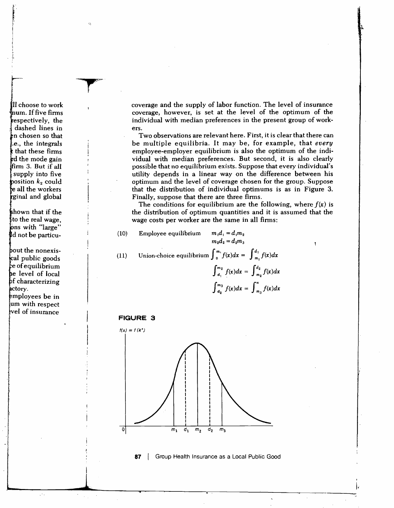coverage and the supply of labor function. The level of insurance coverage, however, is set, at the level of the optimum of the individual with median preferences in the present group of workers.

Two observations are relevant here. First, it is clear that there can be multiple equilibria. It may be, for example, that every employee-employer equilibrium is also the optimum of the individual with median preferences. But second, it is also clearly possible that no equilibrium exists. Suppose that every individual's utility depends in a linear way on the difference between his optimum and the level of coverage chosen for the group. Suppose that the distribution of individual optimums is as in Figure 3. Finally, suppose that there are three firms.

The conditions for equilibrium are the following, where  $f(x)$  is the distribution of optimum quantities and it is assumed that the wage costs per worker are the same in all firms:

(10) Employee equilibrium  $m_1d_1 = d_1m_2$  $m_2d_2=d_2m_2$ (11) Union-choice equilibrium  $\int_0^{m_1} f(x) dx = \int_{m_1}^{m_1} f(x) dx$  $\int_{a_1}^{m_2} f(x)dx = \int_{m_2}^{d_2} f(x)dx$  $f(x)dx = \int_{m_3} f(x)dx$ 



# **87** | Group Health Insurance as a Lea<br> **87** | Group Health Insurance as a Lea<br>
1

 $\mathbf{1}$ 

 $\overline{\phantom{a}}$ that these firms d the mode gain

supply into five  $\mathcal{L}$ 

hown that if the in-

 $\frac{1}{\sqrt{2}}$ 

e of equilibrium

 $\mathbf{I}$ 

 $\pm$ 

 $\mathbf{I}$ 

87 | Group Health Insurance as a Local Public Good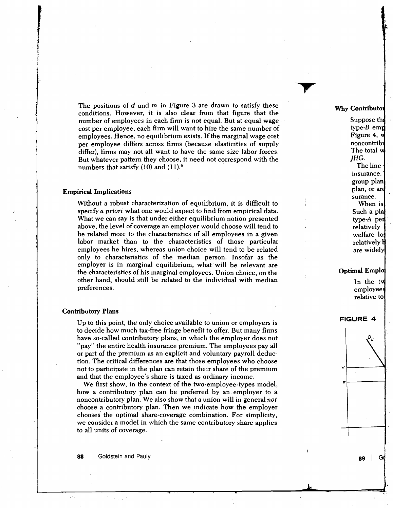The positions of  $d$  and  $m$  in Figure 3 are drawn to satisfy these conditions. However, it is also clear from that figure that the number of employees in each firm is not equal. But at equal wage cost per employee, each firm will want to hire the same number of employees. Hence, no equilibrium exists. If the marginal wage cost per employee differs across firms (because elasticities of supply differ), firms may not all want to have the same size labor forces. But whatever pattern they choose, it need not correspond with the numbers that satisfy  $(10)$  and  $(11).9$ 

#### **Empirical Implications**

Without a robust characterization of equilibrium, it is difficult to specify a priori what one would expect to find from empirical data.<br>What we can say is that under either equilibrium notion presented above, the level of coverage an employer would choose will tend to be related more to the characteristics of all employees in a given labor market than to the characteristics of those particular labor market than to the median person. Insofar as the condy to characterization of equilibrium, it is difficult to specify *a priori* what one would expect to find from empirical data. What we can say is that under either employees he hires, whereas union choice will tend to be related only to characteristics of the median person. Insofar as the employer is in marginal equilibrium, what will be relevant are the characteristics of his marginal employees. Union choice, on the other hand, should still be related to the individual with median preferences.  $\mathbf{p}$ references. employees the contract of  $\mathbf{p}$ 

#### Contributory Plans

Up to this point, the only choice available to union or employers is to decide how much tax-free fringe benefit to offer. But many firms have so-called contributory plans, in which the employer does not "pay" the entire health insurance premium. The employees pay all or part of the premium as an explicit and voluntary payroll deduction. The critical differences are that those employees who choose not to participate in the plan can retain their share of the premium and that the employee's share is taxed as ordinary income.

We first show, in the context of the two-employee-types model, how a contributory plan can be preferred by an employer to a noncontributory plan. We also show that a union will in general not choose a contributory plan. Then we indicate how the employer chooses the optimal share-coverage combination. For simplicity, we consider a model in which the same contributory share applies to all units of coverage.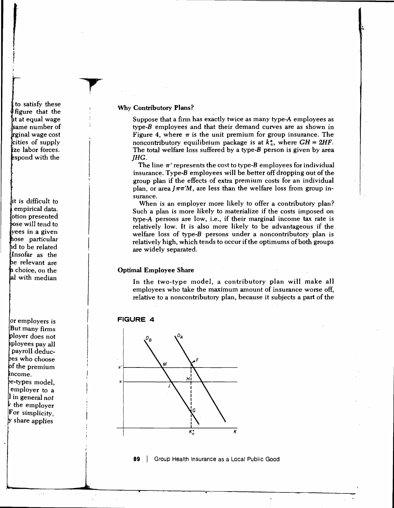#### Why Contributory Plans?

Suppose that a firm has exactly twice as many type-A employees as type-B employees and that their demand curves are as shown in Figure 4, where  $\pi$  is the unit premium for group insurance. The noncontributory equilibrium package is at  $k_n^*$ , where  $GH = 2HF$ . The total welfare loss suffered by a type-B person is given by area JHG.

The line  $\pi'$  represents the cost to type-B employees for individual insurance. Type-B employees will be better off dropping out of the group plan if the effects of extra premium costs for an individual plan, or area  $I\pi\pi'M$ , are less than the welfare loss from group insurance.

When is an employer more likely to offer a contributory plan? Such a plan is more likely to materialize if the costs imposed on type-A persons are low, i.e., if their marginal income tax rate is relatively low. It is also more likely to be advantageous if the welfare loss of type-B persons under a noncontributory plan is relatively high, which tends to occur if the optimums of both groups are widely separated.

#### Optimal Employee Share

In the two-type model, a contributory plan will make all employees who take the maximum amount of insurance worse off, relative to a noncontributory plan, because it subjects a part of the



)f the premium

to satisfy these figure that the t at equal wage

cities of supply

spond with the

 $\cdot$  is difficult to  $\cdot$ 

otion presented  $\overline{\phantom{a}}$  $\mathcal{L}$ 

 $\frac{1}{2}$  $\overline{\phantom{a}}$ 

 $\vert$ 

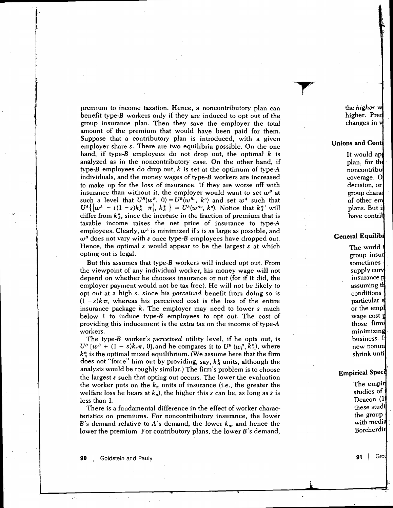premium to income taxation. Hence, a noncontributory plan can benefit type-B workers only if they are induced to opt out of the group insurance plan. Then they save the employer the total amount of the premium that would have been paid for them. Suppose that a contributory plan is introduced, with a given<br>employer share s. There are two equilibria possible. On the one hand, if type- $B$  employees do not drop out, the optimal k is analyzed as in the noncontributory case. On the other hand, if type-B employees do drop out,  $k$  is set at the optimum of type-A individuals, and the money wages of type-B workers are increased to make up for the loss of insurance. If they are worse off with insurance than without it, the employer would want to set  $w^B$  at such a level that  $U^B(w^B, 0) = U^B(w^{B_0}, k^0)$  and set  $w^A$  such that  $U^{\hat{A}}\{ [w^{\hat{A}} - t(1-s)k_{\hat{A}}^* \ \pi], k_{\hat{A}}^* \} = U^{\hat{A}}(w^{\hat{A}0}, k^0)$ . Notice that  $k_{\hat{A}}^*$  will differ from  $k_{\lambda}^{*}$ , since the increase in the fraction of premium that is taxable income raises the net price of insurance to type-A employees. Clearly,  $w<sup>4</sup>$  is minimized if s is as large as possible, and  $w^{\beta}$  does not vary with s once type-B employees have dropped out. Hence, the optimal s would appear to be the largest s at which opting out is legal.

But this assumes that type-B workers will indeed opt out. From the viewpoint of any individual worker, his money wage will not depend on whether he chooses insurance or not (for if it did, the employer payment would not be tax free). He will not be likely to opt out at a high s, since his perceived benefit from doing so is  $(1-s)k\pi$ , whereas his perceived cost is the loss of the entire insurance package k. The employer may need to lower s much below 1 to induce type- $B$  employees to opt out. The cost of providing this inducement is the extra tax on the income of type-A workers.

The type-B worker's *perceived* utility level, if he opts out, is  $U^{\beta}$  [w<sup>B</sup> + (1 – s) $k_n\pi$ , 0], and he compares it to  $U^{\beta}$  (w<sub>e</sub><sup>B</sup>,  $k_n^*$ ), where  $k_n^*$  is the optimal mixed equilibrium. (We assume here that the firm does not "force" him out by providing, say,  $k_{\ell}^{*}$  units, although the analysis would be roughly similar.) The firm's problem is to choose the largest s such that opting out occurs. The lower the evaluation the worker puts on the  $k_n$  units of insurance (i.e., the greater the welfare loss he bears at  $k_n$ ), the higher this s can be, as long as s is less than 1.

There is a fundamental difference in the effect of worker characteristics on premiums. For noncontributory insurance, the lower B's demand relative to A's demand, the lower  $k_n$ , and hence the lower the premium. For contributory plans, the lower B's demand,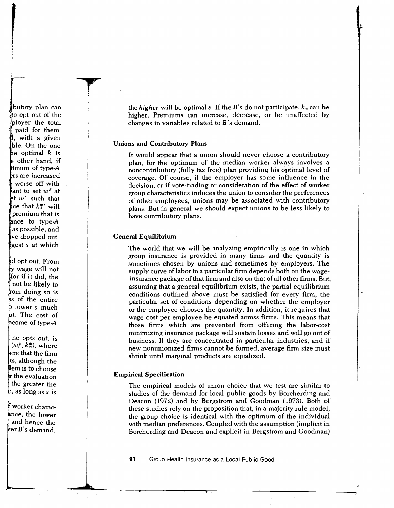the *higher* will be optimal s. If the B's do not participate,  $k_n$  can be higher. Premiums can increase, decrease, or be unaffected by changes in variables related to B's demand.

#### Unions and Contributory Plans

butory plan can o opt out of the

 $\mathbf{I}$  $\mathcal{L}$  $\mathbf{I}$ 

imum of type-A  $\frac{1}{2}$  $\mathbf{u}$ 

nce to type-A

d opt out. From

 $\mathcal{A}$ 

 $\pm$ 

 $\mathbf{f}$  $\mathcal{L}$  $\parallel$  $\cdot$  l

icome of type-A

ere that the firm

 $\frac{1}{\epsilon}$  $\overline{t}$ 

 $\overline{\phantom{a}}$ 

It would appear that a union should never choose a contributory plan, for the optimum of the median worker always involves a noncontributory (fully tax free) plan providing his optimal level of coverage. Of course, if the employer has some influence in the decision, or if vote-trading or consideration of the effect of worker group characteristics induces the union to consider the preferences of other employees, unions may be associated with contributory plans. But in general we should expect unions to be less likely to have contributory plans.

#### General Equilibrium

The world that we will be analyzing empirically is one in which group insurance is provided in many firms and the quantity is sometimes chosen by unions and sometimes by employers. The supply curve of labor to a particular firm depends both on the wageinsurance package of that firm and also on that of all other firms. But, assuming that a general equilibrium exists, the partial equilibrium conditions outlined above must be satisfied for every firm, the particular set of conditions depending on whether the employer or the employee chooses the quantity. In addition, it requires that wage cost per employee be equated across firms. This means that those firms which are prevented from offering the labor-cost minimizing insurance package will sustain losses and will go out of business. If they are concentrated in particular industries, and if new nonunionized firms cannot be formed, average firm size must shrink until marginal products are equalized.

#### Empirical Specification

The empirical models of union choice that we test are similar to studies of the demand for local public goods by Borcherding and Deacon (1972) and by Bergstrom and Goodman (1973). Both of these studies rely on the proposition that, in a majority rule model, the group choice is identical with the optimum of the individual with median preferences. Coupled with the assumption (implicit in Borcherding and Deacon and explicit in Bergstrom and Goodman)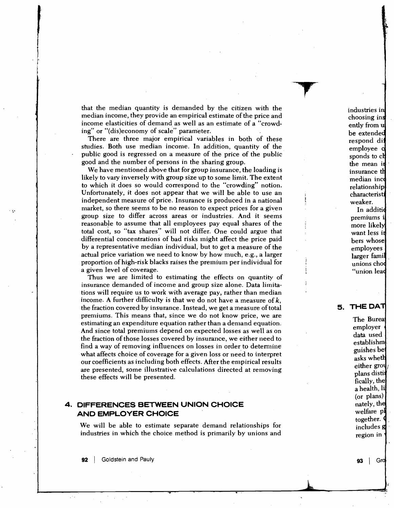that the median quantity is demanded by the citizen with the median income, they provide an empirical estimate of the price and income elasticities of demand as well as an estimate of a "crowd-<br>ing" or "(dis)economy of scale" parameter.

There are three major empirical variables in both of these<br>studies. Both use median income. In addition, quantity of the<br>public good is regressed on a measure of the price of the public good and the number of persons in the sharing group.

We have mentioned above that for group insurance, the loading is likely to vary inversely with group size up to some limit. The extent to which it does so would correspond to the "crowding" notion.<br>Unfortunately, it does not appear that we will be able to use an independent measure of price. Insurance is produced in a national market, so there seems to be no reason to expect prices for a given group size to differ across areas or industries. And it seems reasonable to assume that all employees pay equal shares of the total cost, so "tax shares" will not differ. One could argue that differential concentrations of bad risks might affect the price paid by a representative median individual, but to get a measure of the actual price variation we need to know by how much, e.g., a larger proportion of high-risk blacks raises the premium per individual for a given level of co

Thus we are limited to estimating the effects on quantity of insurance demanded of income and group size alone. Data limitations will require us to work with average pay, rather than median income. A further difficulty is that we do not have a measure of  $k$ . the fraction covered by insurance. Instead, we get a measure of total premiums. This means that, since we do not know price, we are estimating an expenditure equation rather than a demand equation. estimating an expenditure equation rather than a demand equation.<br>And since total premiums depend on expected losses as well as on<br>the fraction of those losses covered by insurance, we either need to<br>find a way of removing

#### 4. DIFFERENCES BETWEEN UNION CHOICE **AND EMPLOYER CHOICE**

We will be able to estimate separate demand relationships for industries in which the choice method is primarily by unions and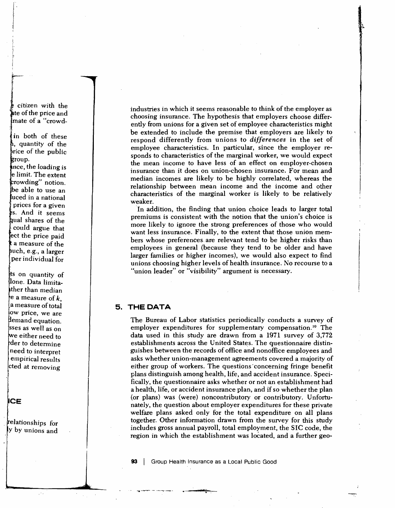industries in which it seems reasonable to think of the employer as choosing insurance. The hypothesis that employers choose differently from unions for a given set of employee characteristics might be extended to include the premise that employers are likely to respond differently from unions to *differences* in the set of employee characteristics. In particular, since the employer responds to characteristics of the marginal worker, we would expect the mean income to have less of an effect on employer-chosen insurance than it does on union-chosen insurance. For mean and median incomes are likely to be highly correlated, whereas the relationship between mean income and the income and other characteristics of the marginal worker is likely to be relatively weaker.

In addition, the finding that union choice leads to larger total premiums is consistent with the notion that the union's choice is more likely to ignore the strong preferences of those who would want less insurance. Finally, to the extent that those union members whose preferences. are relevant tend to be higher risks than employees in general (because they tend to be older and have larger families or higher incomes), we would also expect to find unions choosing higher levels of health insurance. No recourse to a "union leader" or "visibility" argument is necessary.

#### 5. THE DATA

citizen with the  $\Box$ 

in both of the second theory is a second to the second term in the second term in the second term in the second term in the second term in the second term in the second term in the second term in the second term in the sec  $\Box$ rice of the public

 $\Box$ 

 $\Box$  $\overline{\phantom{a}}$  $\blacksquare$ 

ect the price paid  $\blacksquare$ 

ther than niedian

 $\Box$ 

 $\pm$ either need to

 $\pm$ 

 $\mathbf{1}$ 

The Bureau of Labor statistics periodically conducts a survey of employer expenditures for supplementary compensation.'° The data used in this study are drawn from a 1971 survey of 3,772 establishments across the United States. The questionnaire distinguishes between the records of office and nonoffice employees and asks whether union-management agreements covered a majority of either group of workers. The questions concerning fringe benefit plans distinguish among health, life, and accident insurance. Specifically, the questionnaire asks whether or not an establishment had a health, life, or accident insurance plan, and if so whether the plan (or plans) was (were) noncontributory or contributory. Unfortunately, the question about employer expenditures for these private welfare plans asked only for the total expenditure on all plans together. Other information drawn from the survey for this study includes gross annual payroll, total employment, the SIC code, the region in which the establishment was located, and a further geo-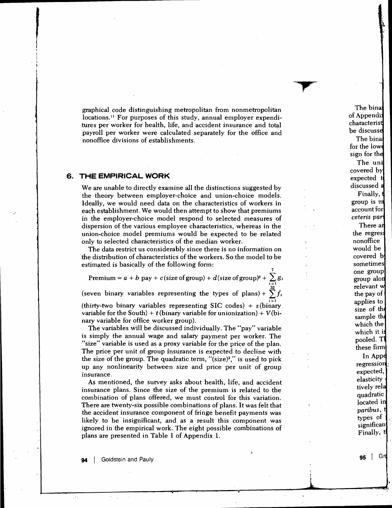graphical code distinguishing metropolitan from nonmetropolitan locations.<sup>11</sup> For purposes of this study, annual employer expenditures per worker for health, life, and accident insurance and total payroll per worker were calculated separately for the office and nonoffice divisions of establishments.

#### 6. THE EMPIRICAL WORK

We are unable to directly examine all the distinctions suggested by the theory between employer-choice and union-choice models. Ideally, we would need data on the characteristics of workers in each establishment. We would then attempt to show that premiums in the employer-choice model respond to selected measures of dispersion of the various employee characteristics, whereas in the union-choice model premiums would be expected to be related only to selected characteristics of the median worker.

The data restrict us considerably since there is no information on the distribution of characteristics of the workers. So the model to be estimated is basically of the following form:

Premium =  $a + b$  pay + c(size of group) + d(size of group)<sup>2</sup> +  $\sum_{i=1}^{r} g_i$ 

 $\frac{32}{ }$ (seven binary variables representing the types of plans) +  $\sum_{i=1}^{\infty} f_i$ 

(thirty-two binary variables representing SIC codes) + s (binary variable for the South) + t (binary variable for unionization) + V(binary variable for office worker group).

The variables will be discussed individually. The "pay" variable<br>is simply the annual wage and salary payment per worker. The<br>"size" variable is used as a proxy variable for the price of the plan. The price per unit of group insurance is expected to decline with the size of the group. The quadratic term, " $(size)^2$ ," is used to pick up any nonlinearity between size and price per unit of group ap any nonmourny sections also and price per anti-or group insurance.<br>As mentioned, the survey asks about health, life, and accident

insurance plans. Since the size of the premium is related to the combination of plans offered, we must control for this variation. There are twenty-six possible combinations of plans. It was felt that the accident insurance component of fringe benefit payments was likely to be insignificant, and as a result this component was ignored in the empirical work. The eight possible combinations of plans are presented in Table 1 of Appendix 1.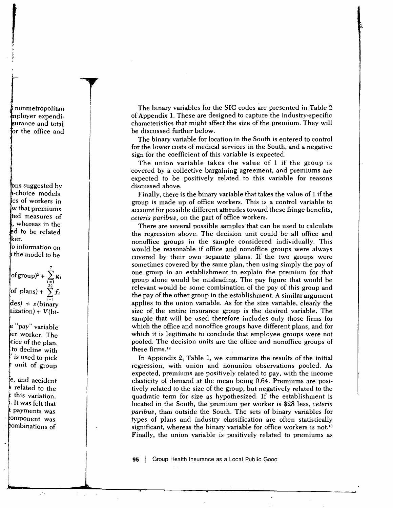The binary variables for the SIC codes are presented in Table 2 of Appendix 1. These are designed to capture the industry-specific characteristics that might affect the size of the premium. They will be discussed further below.

nonmetropolitan

 $\mathbf{I}$ 

ons suggested by

 $\mathcal{A}$ 

 $\Box$ 

"pay" variable er worker. The

 $\mathbf{d}$  $\mathbf{I}$ 

related to the

payments was

The binary variable for location in the South is entered to control for the lower costs of medical services in the South, and a negative sign for the coefficient of this variable is expected.

The union variable takes the value of 1 if the group is covered by a collective bargaining agreement, and premiums are expected to be positively related to this variable for reasons discussed above.

Finally, there is the binary variable that takes the value of 1 if the group is made up of office workers. This is a control variable to account for possible different attitudes toward these fringe benefits, ceteris paribus, on the part of office workers.

There are several possible samples that can be used to calculate the regression above. The decision unit could be all office and nonoffice groups in the sample considered individually. This would be reasonable if office and nonoffice groups were always covered by their own separate plans. If the two groups were sometimes covered by the same plan, then using simply the pay of one group in an establishment to explain the premium for that group alone would be misleading. The pay figure that would be relevant would be some combination of the pay of this group and the pay of the other group in the establishment. A similar argument applies to the union variable. As for the size variable, clearly the size of, the entire insurance group is the desired variable. The sample that will be used therefore includes only those firms for which the office and nonoffice groups have different plans, and for which it is legitimate to conclude that employee groups were not pooled. The decision units are the office and nonoffice groups of these firms.'2

In Appendix 2, Table 1, we summarize the results of the initial regression, with union and nonunion observations pooled. As expected, premiums are positively related to pay, with the income elasticity of demand at the mean being 0.64. Premiums are positively related to the size of the group, but negatively related to the quadratic term for size as hypothesized. If the establishment is located in the South, the premium per worker is \$28 less, ceteris paribas, than outside the South. The sets of binary variables for types of plans and industry classification are often statistically significant, whereas the binary variable for office workers is not.<sup>13</sup> Finally, the union variable is positively related to premiums as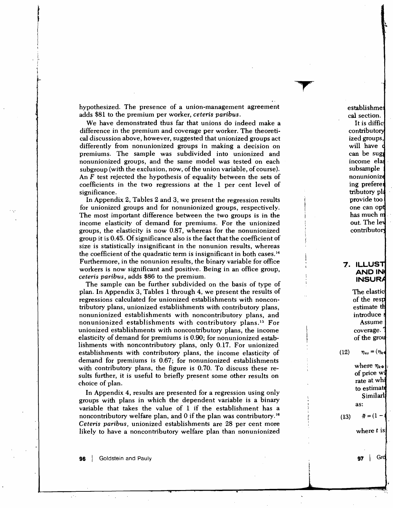hypothesized. The presence of a union-management agreement adds \$81 to the premium per worker, ceteris paribus.

We have demonstrated thus far that unions do indeed make a difference in the premium and coverage per worker. The theoretical discussion above, however, suggested that unionized groups act differently from nonunionized groups in making a decision on premiums. The sample was subdivided into unionized and nonunionized groups, and the same model was tested on each subgroup (with the exclusion, now, of the union variable, of course). An  $F$  test rejected the hypothesis of equality between the sets of coefficients in the two regressions at the 1 per cent level of significance.  ${\bf sign}$  if cance  ${\bf p}$  . The contract of  ${\bf p}$  is the contract of  ${\bf p}$ 

In Appendix 2, Tables 2 and 3, we present the regression results for unionized groups and for nonunionized groups, respectively. The most important difference between the two groups is in the income elasticity of demand for premiums. For the unionized groups, the elasticity is now  $0.87$ , whereas for the nonunionized group it is 0.45. Of significance also is the fact that the coefficient of size is statistically insignificant in the nonunion results, whereas the coefficient of the quadratic term is insignificant in both cases.<sup>14</sup><br>Furthermore, in the nonunion results, the binary variable for office workers is now significant and positive. Being in an office group,<br>ceteris paribus, adds \$86 to the premium.<br>The sample can be further subdivided on the basis of type of

plan. In Appendix 3, Tables 1 through 4, we present the results of regressions calculated for unionized establishments with noncontributory plans, unionized establishments with contributory plans, nonunionized establishments with noncontributory plans, and nonunionized establishments with contributory plans.<sup>15</sup> For unionized establishments with noncontributory plans, the income elasticity of demand for premiums is 0.90; for nonunionized establishments with noncontributory plans, only 0.17. For unionized establishments with contributory plans, the income elasticity of demand for premiums is 0.67; for nonunionized establishments with contributory plans, the figure is  $0.70$ . To discuss these results further, it is useful to briefly present some other results on choice of plan.

to estimate In Appendix 4, results are presented for a regression using only groups with plans in which the dependent variable is a binary variable that takes the value of 1 if the establishment has a noncontributory welfare plan, and  $0$  if the plan was contributory.<sup>16</sup> Ceteris paribus, unionized establishments are 28 per cent more likely to have a noncontributory welfare plan than nonunionized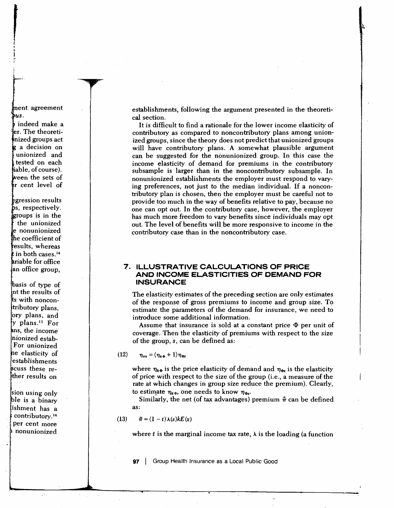establishments, following the argument presented in the theoretical section.

It is difficult to find a rationale for the lower income elasticity of contributory as compared to noncontributory plans among unionized groups, since the theory does not predict that unionized groups will have contributory plans. A somewhat plausible argument can be suggested for the nonunionized group. In this case the income elasticity of demand for premiums in the contributory subsample is larger than in the noncontributory subsample. In nonunionized establishments the employer must respond to varying preferences, not just to the median individual. If a noncontributory plan is chosen, then the employer must be careful not to provide too much in the way of benefits relative to pay, because no one can opt out. In the contributory case, however, the employer has much more freedom to vary benefits since individuals may opt out. The level of benefits will be more responsive to income in the contributory case than in the noncontributory case.

#### 7. ILLUSTRATIVE CALCULATIONS OF PRICE AND INCOME ELASTICITIES OF DEMAND FOR INSURANCE

The elasticity estimates of the preceding section are only estimates of the response of gross premiums to income and group size. To estimate the parameters of the demand for insurance, we need to introduce some additional information.

Assume that insurance is sold at a constant price  $\Phi$  per unit of coverage. Then the elasticity of premiums with respect to the size of the group, s, can be defined as:

$$
(12) \qquad \eta_{\pi s} = (\eta_{k\Phi} + 1)\eta_{\Phi s}
$$

indeed make a

a decision on unionized and tested on each

is in the structure. the unionized  $\frac{1}{2}$ 

 $\pm$ 

 $\mathbb{R}$ 

 $\pm$ 

ther results on

 $\overline{\phantom{a}}$  $\parallel$ ishment has a

nonunion ized

where  $\eta_{k\Phi}$  is the price elasticity of demand and  $\eta_{\Phi}$  is the elasticity of price with respect to the size of the group (i.e., a measure of the rate at which changes in group size reduce the premium). Clearly, to estimate  $\eta_{k\phi}$ , one needs to know  $\eta_{\phi s}$ .

Similarly, the net (of tax advantages) premium  $\tilde{\pi}$  can be defined as:

(13) 
$$
\tilde{\pi} = (1-t)\lambda(s)kE(x)
$$

where t is the marginal income tax rate,  $\lambda$  is the loading (a function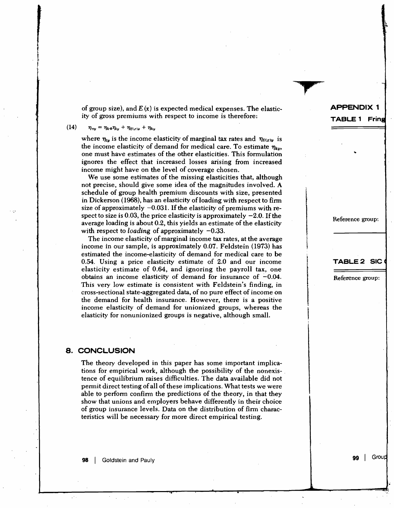of group size), and  $E(x)$  is expected medical expenses. The elasticity of gross premiums with respect to income is therefore:

#### (14)  $\eta_{\pi\nu} = \eta_{k\phi}\eta_{t\nu} + \eta_{E(x)\nu} + \eta_{k\nu}$

where  $\eta_{tu}$  is the income elasticity of marginal tax rates and  $\eta_{E(x)y}$  is the income elasticity of demand for medical care. To estimate  $\eta_{km}$ , one must have estimates of the other elasticities. This formulation ignores the effect that increased losses arising from increased income might have on the level of coverage chosen.

We use some estimates of the missing elasticities that, although not precise, should give some idea of the magnitudes involved. A schedule of group health premium discounts with size, presented in Dickerson (1968), has an elasticity of loading with respect to firm size of approximately  $-0.031$ . If the elasticity of premiums with respect to size is 0.03, the price elasticity is approximately  $-2.0$ . If the average loading is about 0.2, this yields an estimate of the elasticity with respect to *loading* of approximately  $-0.33$ .

The income elasticity of marginal income tax rates, at the average income in our sample, is approximately 0.07. Feldstein (1973) has estimated the income-elasticity of demand for medical care to be 0.54. Using a price elasticity estimate of  $2.0$  and our income elasticity estimate of 0.64, and ignoring the payroll tax, one obtains an income elasticity of demand for insurance of  $-0.04$ . This very low estimate is consistent with Feldstein's finding, in cross-sectional state-aggregated data, of no pure effect of income on the demand for health insurance. However, there is a positive income elasticity of demand for unionized groups, whereas the elasticity for nonunionized groups is negative, although small.

#### 8. CONCLUSION

The theory developed in this paper has some important implications for empirical work, although the possibility of the nonexis-. tence of equilibrium raises difficulties. The data available did not permit direct testing of all of these implications. What tests we were able to perform confirm the predictions of the theory, in that they show that unions and employers behave differently in their choice of group insurance levels. Data on the distribution of firm characteristics will be necessary for more direct empirical testing.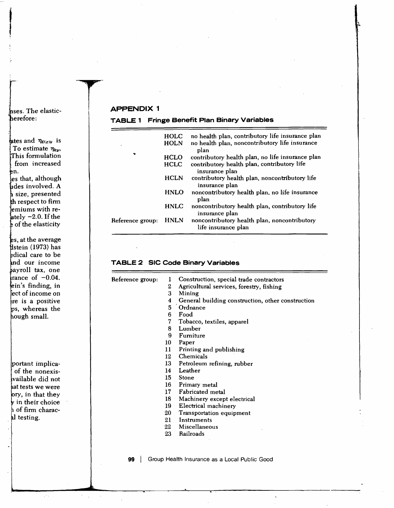#### APPENDIX 1

 $\mathcal{A}$ 

at the average

 $\Box$ nd our income  $\mathbf{I}$ 

em's finding, in  $\blacksquare$  $\Box$  $\frac{1}{2}$ 

in the theory

#### TABLE 1 Fringe Benefit Plan Binary Variables

|                  | <b>HOLC</b> | no health plan, contributory life insurance plan                    |
|------------------|-------------|---------------------------------------------------------------------|
|                  | <b>HOLN</b> | no health plan, noncontributory life insurance<br>plan              |
| $\bullet$        | <b>HCLO</b> | contributory health plan, no life insurance plan                    |
|                  | <b>HCLC</b> | contributory health plan, contributory life<br>insurance plan       |
|                  | <b>HCLN</b> | contributory health plan, noncontributory life<br>insurance plan    |
|                  | <b>HNLO</b> | noncontributory health plan, no life insurance<br>plan              |
|                  | <b>HNLC</b> | noncontributory health plan, contributory life<br>insurance plan    |
| Reference group: | <b>HNLN</b> | noncontributory health plan, noncontributory<br>life insurance plan |

#### TABLE 2 SIC Code Binary Variables

| 1  | Construction, special trade contractors           |
|----|---------------------------------------------------|
| 2  | Agricultural services, forestry, fishing          |
| 3  | Mining                                            |
| 4  | General building construction, other construction |
| 5  | Ordnance                                          |
| 6  | Food                                              |
| 7  | Tobacco, textiles, apparel                        |
| 8  | Lumber                                            |
| 9  | Furniture                                         |
| 10 | Paper                                             |
| 11 | Printing and publishing                           |
| 12 | Chemicals                                         |
| 13 | Petroleum refining, rubber                        |
| 14 | Leather                                           |
| 15 | <b>Stone</b>                                      |
| 16 | Primary metal                                     |
| 17 | <b>Fabricated</b> metal                           |
| 18 | Machinery except electrical                       |
| 19 | Electrical machinery                              |
| 20 | Transportation equipment                          |
| 21 | Instruments                                       |
| 22 | Miscellaneous                                     |
| 23 | Railroads                                         |
|    |                                                   |
|    |                                                   |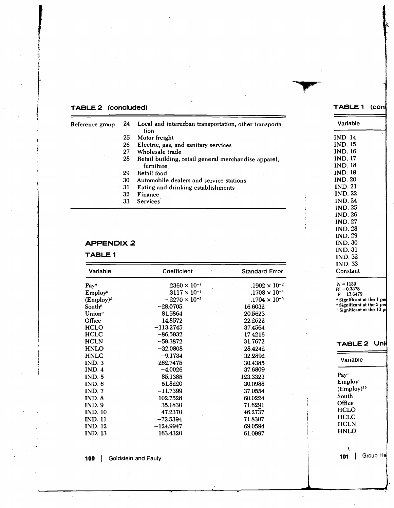#### TABLE 2 (concluded)

| Reference group: | 24  | Local and interurban transportation, other transporta-<br>tion    |
|------------------|-----|-------------------------------------------------------------------|
|                  | 25  | Motor freight                                                     |
|                  | 26  | Electric, gas, and sanitary services                              |
|                  | 27  | Wholesale trade                                                   |
|                  | 28  | Retail building, retail general merchandise apparel,<br>furniture |
|                  | 29  | Retail food                                                       |
|                  | 30  | Automobile dealers and service stations                           |
|                  | -31 | Eating and drinking establishments                                |
|                  | 32  | Finance                                                           |
|                  |     |                                                                   |

t

33 Services

#### APPENDIX 2

#### TABLE 1

| Variable            | Coefficient             | <b>Standard Error</b>  |
|---------------------|-------------------------|------------------------|
| Pay"                | $.2360 \times 10^{-1}$  | $.1902 \times 10^{-2}$ |
| Employ <sup>b</sup> | $.3117 \times 10^{-1}$  | $.1708 \times 10^{-1}$ |
| $(Employ)^{2c}$     | $-.2270 \times 10^{-5}$ | $.1704 \times 10^{-5}$ |
| South <sup>"</sup>  | $-28.0705$              | 16.6032                |
| Union"              | 81.5864                 | 20.5623                |
| Office              | 14.8572                 | 22.2622                |
| <b>HCLO</b>         | $-113.2745$             | 37.4564                |
| <b>HCLC</b>         | $-86.5932$              | 17.4216                |
| <b>HCLN</b>         | $-59.3872$              | 31.7672                |
| <b>HNLO</b>         | $-32.0808$              | 28.4242                |
| <b>HNLC</b>         | $-9.1734$               | 32.2892                |
| IND.3               | 262.7475                | 30.4385                |
| IND.4               | $-4.0026$               | 37.6809                |
| IND.5               | 85.1385                 | 123.3323               |
| IND.6               | 51.8220                 | 30.0988                |
| IND.7               | $-11.7399$              | 37.0554                |
| IND.8               | 102.7528                | 60.0224                |
| IND.9               | 35.1830                 | 71.6291                |
| <b>IND. 10</b>      | 47.2370                 | 46.2737                |
| <b>IND. 11</b>      | $-72.5394$              | 71.8307                |
| <b>IND.</b> 12      | $-124.9947$             | 69.0594                |
| <b>IND. 13</b>      | 163.4320                | 61.0997                |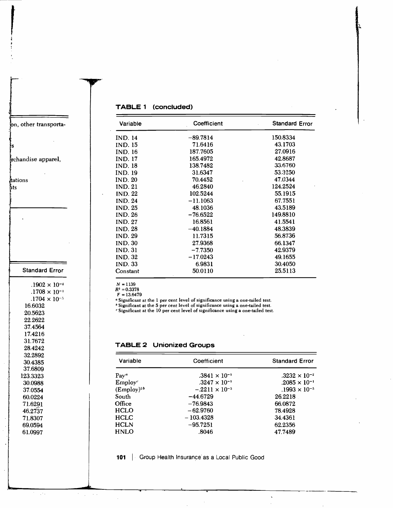| Variable       | Coefficient | <b>Standard Error</b> |
|----------------|-------------|-----------------------|
| IND. 14        | $-89.7814$  | 150.8334              |
| <b>IND. 15</b> | 71.6416     | 43.1703               |
| <b>IND. 16</b> | 187.7605    | 27.0916               |
| <b>IND. 17</b> | 165.4972    | 42.8687               |
| <b>IND. 18</b> | 138.7482    | 33.6760               |
| IND. 19        | 31.6347     | 53.3250               |
| <b>IND. 20</b> | 70.4452     | 47.0344               |
| <b>IND. 21</b> | 46.2840     | 124.2524              |
| <b>IND. 22</b> | 102.5244    | 55.1915               |
| <b>IND. 24</b> | $-11.1063$  | 67.7551               |
| <b>IND. 25</b> | 48.1036     | 43.5189               |
| <b>IND. 26</b> | $-76.6522$  | 149.8810              |
| <b>IND. 27</b> | 16.8561     | 41.5541               |
| <b>IND. 28</b> | $-40.1884$  | 48.3839               |
| <b>IND. 29</b> | 11.7315     | 56.8736               |
| <b>IND. 30</b> | 27.9368     | 66.1347               |
| <b>IND. 31</b> | $-7.7350$   | 42.9379               |
| <b>IND. 32</b> | $-17.0243$  | 49.1655               |
| <b>IND. 33</b> | 6.9831      | 30.4050               |
| Constant       | 50.0110     | 25.5113               |

#### TABLE 1 (concluded)

 $N = 1139$ 

 $R^2 = 0.3378$ 

 $F = 13.6479$ 

"Significant at the 1 per cent level of significance using a one-tailed test.

Significant at the 5 per cent level of significance using a one-tailed test. 'Significant at the 10 per cent level of significance using a one-tailed test.

| Pay <sup>a</sup><br>$.3841 \times 10^{-1}$<br>$.3232 \times 10^{-2}$        |
|-----------------------------------------------------------------------------|
| Employ <sup>c</sup><br>$.3247 \times 10^{-1}$<br>$.2085 \times 10^{-1}$     |
| (Employ) <sup>2b</sup><br>$-.2211 \times 10^{-5}$<br>$.1993 \times 10^{-5}$ |
| South<br>$-44.6729$<br>26.2218                                              |
| Office<br>$-76.9843$<br>66.0872                                             |
| <b>HCLO</b><br>$-62.9760$<br>78.4928                                        |
| <b>HCLC</b><br>$-103.4328$<br>34.4361                                       |
| <b>HCLN</b><br>$-95.7251$<br>62.2356                                        |
| <b>HNLO</b><br>47.7489<br>.8046                                             |

#### TABLE 2 Unionized Groups

#### 101 | Group Health Insurance as a Local Public Good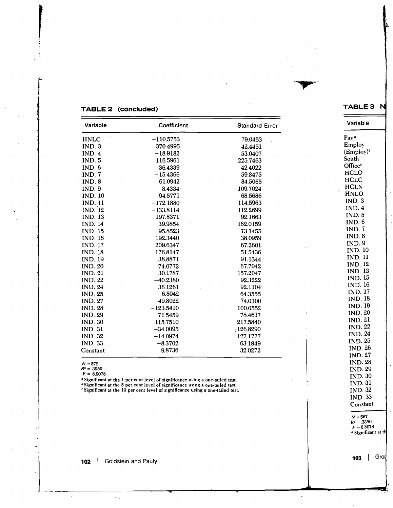| Variable       | Coefficient | <b>Standard Error</b> |
|----------------|-------------|-----------------------|
| <b>HNLC</b>    | $-110.5753$ | 79.0453               |
| IND.3          | 370.4995    | 42.4451               |
| IND.4          | $-18.9182$  | 53.0407               |
| IND.5          | 116.5961    | 225.7463              |
| IND.6          | 36.4339     | 42.4022               |
| IND.7          | $-15.4366$  | 59.8475               |
| IND.8          | 61.0942     | 84.5065               |
| IND.9          | 8.4334      | 109.7024              |
| <b>IND. 10</b> | 94.5771     | 68.5686               |
| <b>IND. 11</b> | $-172.1880$ | 114.5963              |
| <b>IND. 12</b> | $-133.8114$ | 112.2699              |
| <b>IND. 13</b> | 197.8371    | 92.1663               |
| <b>IND. 14</b> | 39.9854     | 162.0159              |
| <b>IND. 15</b> | 95.8523     | 73.1455               |
| <b>IND. 16</b> | 192.3440    | 38.0959               |
| <b>IND. 17</b> | 209.6347    | 67.2601               |
| <b>IND. 18</b> | 176.8147    | 51.5436               |
| <b>IND. 19</b> | 38.8871     | 91.1344               |
| <b>IND. 20</b> | 74.0772     | 67.7042               |
| <b>IND. 21</b> | 30.1787     | 157.2047              |
| <b>IND. 22</b> | $-40.2380$  | 92.3222               |
| <b>IND. 24</b> | 36.1261     | 92.1104               |
| <b>IND. 25</b> | 6.8042      | 64.3555               |
| <b>IND. 27</b> | 49.8022     | 74.0300               |
| <b>IND. 28</b> | $-123.5410$ | 100.0552              |
| <b>IND. 29</b> | 71.5459     | 78.4637               |
| <b>IND. 30</b> | 115.7510    | 217.5840              |
| <b>IND. 31</b> | $-34.0095$  | $_{g}$ 126.8290       |
| <b>IND. 32</b> | $-14.0974$  | 127.1777              |
| <b>IND. 33</b> | $-8.3702$   | 63.1849               |
| Constant       | 9.8736      | 32.0272               |

#### TABLE 2 (concluded)

 $N = 572$ <br>R<sup>2</sup> = .3950

 $F = 8.9078$ 

"Significant at the 1 per cent level of significance using a one-tailed test.

<sup>b</sup> Significant at the 5 per cent level of significance using a one-tailed test.

Significant at the 10 per cent level of significance using a one-tailed test.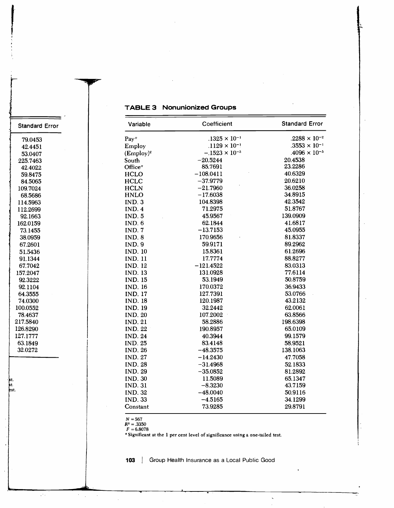| $.1325 \times 10^{-1}$<br>$.1129 \times 10^{-1}$<br>$-.1523 \times 10^{-5}$<br>20.4538<br>$-20.5244$<br>23.2286<br>85.7691<br>40.6329<br>$-108.0411$<br>$-37.9779$<br>20.6210<br>$-21.7960$<br>36.0258<br>34.8915<br>$-17.6038$<br>42.3542<br>104.8398<br>51.8767<br>71.2975<br>139.0909<br>45.9567<br>62.1844<br>41.6817<br>$-13.7153$<br>45.0955<br>170.9656<br>81.8337<br>59.9171<br>89.2962<br>61.2696<br>15.8361<br>17.7774<br>88.8277<br>$-121.4522$<br>83.0313<br>77.6114<br>131.0928<br>53.1949<br>50.8759<br>170.0372<br>36.9433<br>127.7391<br>53.0766<br>43.2132<br>120.1987<br>32.2442<br>62.0061<br>107.2002<br>63.8566<br>58.2886<br>198.6398<br>190.8957<br>65.0109<br>40.3944<br>99.1579<br>83.4148<br>58.9521<br>$-48.3575$<br>138.1063<br>$-14.2430$<br>47.7058<br>52.1833<br>$-31.4968$<br>$-35.0852$<br>81.2892<br>11.5089<br>65.1347<br>$-8.3230$<br>43.7159 | Variable                      | Coefficient | <b>Standard Error</b>  |
|-----------------------------------------------------------------------------------------------------------------------------------------------------------------------------------------------------------------------------------------------------------------------------------------------------------------------------------------------------------------------------------------------------------------------------------------------------------------------------------------------------------------------------------------------------------------------------------------------------------------------------------------------------------------------------------------------------------------------------------------------------------------------------------------------------------------------------------------------------------------------------------|-------------------------------|-------------|------------------------|
|                                                                                                                                                                                                                                                                                                                                                                                                                                                                                                                                                                                                                                                                                                                                                                                                                                                                                   | Pay <sup><math>a</math></sup> |             | $.2288 \times 10^{-2}$ |
|                                                                                                                                                                                                                                                                                                                                                                                                                                                                                                                                                                                                                                                                                                                                                                                                                                                                                   | <b>Employ</b>                 |             | $.3553 \times 10^{-1}$ |
|                                                                                                                                                                                                                                                                                                                                                                                                                                                                                                                                                                                                                                                                                                                                                                                                                                                                                   | (Employ) <sup>2</sup>         |             | $.4096 \times 10^{-5}$ |
|                                                                                                                                                                                                                                                                                                                                                                                                                                                                                                                                                                                                                                                                                                                                                                                                                                                                                   | South                         |             |                        |
|                                                                                                                                                                                                                                                                                                                                                                                                                                                                                                                                                                                                                                                                                                                                                                                                                                                                                   | Office"                       |             |                        |
|                                                                                                                                                                                                                                                                                                                                                                                                                                                                                                                                                                                                                                                                                                                                                                                                                                                                                   | <b>HCLO</b>                   |             |                        |
|                                                                                                                                                                                                                                                                                                                                                                                                                                                                                                                                                                                                                                                                                                                                                                                                                                                                                   | <b>HCLC</b>                   |             |                        |
|                                                                                                                                                                                                                                                                                                                                                                                                                                                                                                                                                                                                                                                                                                                                                                                                                                                                                   | <b>HCLN</b>                   |             |                        |
|                                                                                                                                                                                                                                                                                                                                                                                                                                                                                                                                                                                                                                                                                                                                                                                                                                                                                   | <b>HNLO</b>                   |             |                        |
|                                                                                                                                                                                                                                                                                                                                                                                                                                                                                                                                                                                                                                                                                                                                                                                                                                                                                   | IND. 3                        |             |                        |
|                                                                                                                                                                                                                                                                                                                                                                                                                                                                                                                                                                                                                                                                                                                                                                                                                                                                                   | IND. 4                        |             |                        |
|                                                                                                                                                                                                                                                                                                                                                                                                                                                                                                                                                                                                                                                                                                                                                                                                                                                                                   | IND.5                         |             |                        |
|                                                                                                                                                                                                                                                                                                                                                                                                                                                                                                                                                                                                                                                                                                                                                                                                                                                                                   | IND.6                         |             |                        |
|                                                                                                                                                                                                                                                                                                                                                                                                                                                                                                                                                                                                                                                                                                                                                                                                                                                                                   | IND. <sub>7</sub>             |             |                        |
|                                                                                                                                                                                                                                                                                                                                                                                                                                                                                                                                                                                                                                                                                                                                                                                                                                                                                   | IND.8                         |             |                        |
|                                                                                                                                                                                                                                                                                                                                                                                                                                                                                                                                                                                                                                                                                                                                                                                                                                                                                   | IND.9                         |             |                        |
|                                                                                                                                                                                                                                                                                                                                                                                                                                                                                                                                                                                                                                                                                                                                                                                                                                                                                   | <b>IND. 10</b>                |             |                        |
|                                                                                                                                                                                                                                                                                                                                                                                                                                                                                                                                                                                                                                                                                                                                                                                                                                                                                   | <b>IND. 11</b>                |             |                        |
|                                                                                                                                                                                                                                                                                                                                                                                                                                                                                                                                                                                                                                                                                                                                                                                                                                                                                   | <b>IND. 12</b>                |             |                        |
|                                                                                                                                                                                                                                                                                                                                                                                                                                                                                                                                                                                                                                                                                                                                                                                                                                                                                   | <b>IND. 13</b>                |             |                        |
|                                                                                                                                                                                                                                                                                                                                                                                                                                                                                                                                                                                                                                                                                                                                                                                                                                                                                   | <b>IND. 15</b>                |             |                        |
|                                                                                                                                                                                                                                                                                                                                                                                                                                                                                                                                                                                                                                                                                                                                                                                                                                                                                   | <b>IND. 16</b>                |             |                        |
|                                                                                                                                                                                                                                                                                                                                                                                                                                                                                                                                                                                                                                                                                                                                                                                                                                                                                   | <b>IND. 17</b>                |             |                        |
|                                                                                                                                                                                                                                                                                                                                                                                                                                                                                                                                                                                                                                                                                                                                                                                                                                                                                   | <b>IND. 18</b>                |             |                        |
|                                                                                                                                                                                                                                                                                                                                                                                                                                                                                                                                                                                                                                                                                                                                                                                                                                                                                   | <b>IND. 19</b>                |             |                        |
|                                                                                                                                                                                                                                                                                                                                                                                                                                                                                                                                                                                                                                                                                                                                                                                                                                                                                   | <b>IND. 20</b>                |             |                        |
|                                                                                                                                                                                                                                                                                                                                                                                                                                                                                                                                                                                                                                                                                                                                                                                                                                                                                   | <b>IND. 21</b>                |             |                        |
|                                                                                                                                                                                                                                                                                                                                                                                                                                                                                                                                                                                                                                                                                                                                                                                                                                                                                   | <b>IND. 22</b>                |             |                        |
|                                                                                                                                                                                                                                                                                                                                                                                                                                                                                                                                                                                                                                                                                                                                                                                                                                                                                   | <b>IND. 24</b>                |             |                        |
|                                                                                                                                                                                                                                                                                                                                                                                                                                                                                                                                                                                                                                                                                                                                                                                                                                                                                   | <b>IND. 25</b>                |             |                        |
|                                                                                                                                                                                                                                                                                                                                                                                                                                                                                                                                                                                                                                                                                                                                                                                                                                                                                   | <b>IND. 26</b>                |             |                        |
|                                                                                                                                                                                                                                                                                                                                                                                                                                                                                                                                                                                                                                                                                                                                                                                                                                                                                   | <b>IND. 27</b>                |             |                        |
|                                                                                                                                                                                                                                                                                                                                                                                                                                                                                                                                                                                                                                                                                                                                                                                                                                                                                   | <b>IND. 28</b>                |             |                        |
|                                                                                                                                                                                                                                                                                                                                                                                                                                                                                                                                                                                                                                                                                                                                                                                                                                                                                   | <b>IND. 29</b>                |             |                        |
|                                                                                                                                                                                                                                                                                                                                                                                                                                                                                                                                                                                                                                                                                                                                                                                                                                                                                   | <b>IND. 30</b>                |             |                        |
|                                                                                                                                                                                                                                                                                                                                                                                                                                                                                                                                                                                                                                                                                                                                                                                                                                                                                   | <b>IND. 31</b>                |             |                        |
|                                                                                                                                                                                                                                                                                                                                                                                                                                                                                                                                                                                                                                                                                                                                                                                                                                                                                   | <b>IND. 32</b>                | $-48.0040$  | 50.9116                |
| $-4.5165$<br>34.1299                                                                                                                                                                                                                                                                                                                                                                                                                                                                                                                                                                                                                                                                                                                                                                                                                                                              | <b>IND. 33</b>                |             |                        |
| 73.9285<br>29.8791                                                                                                                                                                                                                                                                                                                                                                                                                                                                                                                                                                                                                                                                                                                                                                                                                                                                | Constant                      |             |                        |

#### TABLE 3 Nonunionized Groups

 $N = 567$ <br> $R^2 = .3350$ <br> $F = 6.8078$ 

Significant at the 1 per cent level of significance using a one-tailed test.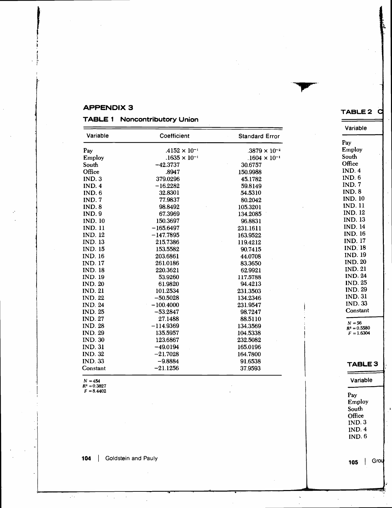#### APPENDIX 3

| Variable       | Coefficient            | <b>Standard Error</b>  |
|----------------|------------------------|------------------------|
| Pay            | $.4152 \times 10^{-1}$ | $.3879 \times 10^{-2}$ |
| <b>Employ</b>  | $.1635 \times 10^{-1}$ | $.1604 \times 10^{-1}$ |
| South          | $-42.3737$             | 30.6757                |
| Office         | .8947                  | 150.9988               |
| IND.3          | 379.0296               | 45.1782                |
| IND.4          | $-16.2282$             | 59.8149                |
| IND.6          | 32.8301                | 54.5310                |
| IND.7          | 77.9837                | 80.2042                |
| IND.8          | 98.8492                | 105.3201               |
| <b>IND. 9</b>  | 67.3969                | 134.2085               |
| <b>IND. 10</b> | 150.3697               | 96.8831                |
| <b>IND. 11</b> | $-165.6497$            | 231.1611               |
| <b>IND. 12</b> | $-147.7895$            | 163.9522               |
| <b>IND. 13</b> | 215.7386               | 119.4212               |
| <b>IND. 15</b> | 153.5582               | 90.7415                |
| <b>IND. 16</b> | 203.6861               | 44.0708                |
| <b>IND. 17</b> | 261.0186               | 83.3650                |
| <b>IND. 18</b> | 220.3621               | 62.9921                |
| <b>IND. 19</b> | 53.9260                | 117.5788               |
| <b>IND. 20</b> | 61.9820                | 94.4213                |
| <b>IND. 21</b> | 101.2534               | 231.3503               |
| <b>IND. 22</b> | $-50.5028$             | 134.2346               |
| <b>IND. 24</b> | $-100.4000$            | 231.9547               |
| <b>IND. 25</b> | $-53.2847$             | 98.7247                |
| <b>IND. 27</b> | 27.1488                | 88.5110                |
| <b>IND. 28</b> | $-114.9369$            | 134.3569               |
| <b>IND. 29</b> | 135.5957               | 104.5338               |
| <b>IND. 30</b> | 123.6867               | 232.5082               |
| <b>IND. 31</b> | $-49.0194$             | 165.0196               |
| <b>IND. 32</b> | $-21.7028$             | 164.7800               |
| <b>IND. 33</b> | $-9.8884$              | 91.6538                |
| Constant       | $-21.1256$             | 37.9593                |

#### TABLE 1 Noncontributory Union

 $N = 454$ <br>R<sup>2</sup> = 0.3827<br>F = 8.4402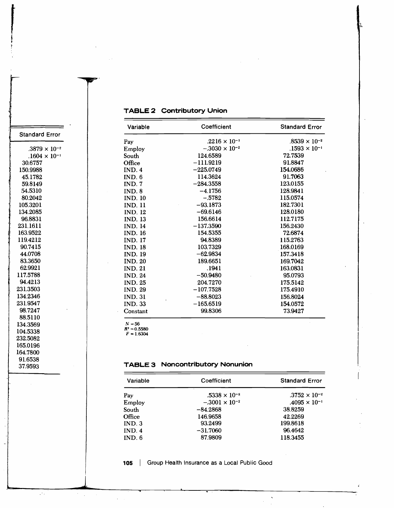| Variable       | Coefficient             | <b>Standard Error</b>  |
|----------------|-------------------------|------------------------|
| Pay            | $.2216 \times 10^{-1}$  | $.8539 \times 10^{-2}$ |
| Employ         | $-.3030 \times 10^{-2}$ | $.1593 \times 10^{-1}$ |
| South          | 124.6589                | 72.7539                |
| Office         | $-111.9219$             | 91.8847                |
| IND.4          | $-225.0749$             | 154.0686               |
| IND.6          | 114.3624                | 91.7063                |
| IND.7          | $-284.3558$             | 123.0155               |
| IND.8          | $-4.1756$               | 128.9841               |
| <b>IND. 10</b> | $-.5782$                | 115.0574               |
| <b>IND. 11</b> | $-93.1873$              | 182.7301               |
| <b>IND.</b> 12 | $-69.6146$              | 128.0180               |
| <b>IND. 13</b> | 156.6614                | 112.7175               |
| <b>IND.</b> 14 | $-137.3590$             | 156.2430               |
| <b>IND.</b> 16 | 154.5355                | 72.6874                |
| <b>IND. 17</b> | 94.8389                 | 115.2763               |
| <b>IND. 18</b> | 103.7329                | 168.0169               |
| <b>IND. 19</b> | $-62.9834$              | 157.3418               |
| <b>IND. 20</b> | 189.6651                | 169.7042               |
| <b>IND. 21</b> | .1941                   | 163.0831               |
| <b>IND. 24</b> | $-50.9480$              | 95.0793                |
| <b>IND. 25</b> | 204.7270                | 175.5142               |
| <b>IND. 29</b> | $-107.7528$             | 175.4910               |
| <b>IND. 31</b> | $-88.8023$              | 156.8024               |
| <b>IND. 33</b> | $-165.6519$             | 154.0572               |
| Constant       | 99.8306                 | 73.9427                |

#### TABLE 2 Contributory Union

 $N\approx\!56$  $R^2 = 0.5580$ <br> $F = 1.6304$ 

#### TABLE 3 Noncontributory Nonunion

| Variable | Coefficient             | <b>Standard Error</b>  |
|----------|-------------------------|------------------------|
| Pay      | $.5338 \times 10^{-2}$  | $.3752 \times 10^{-2}$ |
| Employ   | $-.3001 \times 10^{-2}$ | $.4095 \times 10^{-1}$ |
| South    | $-84.2868$              | 38.8259                |
| Office   | 146.9658                | 42.2269                |
| IND.3    | 93.2499                 | 199.8618               |
| IND.4    | $-31.7060$              | 96.4642                |
| IND.6    | 87.9809                 | 118.3455               |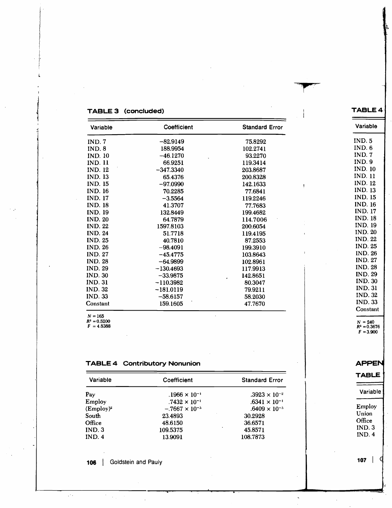| Variable          | Coefficient | <b>Standard Error</b> |
|-------------------|-------------|-----------------------|
| IND. <sub>7</sub> | $-82.9149$  | 75.8292               |
| IND.8             | 188.9954    | 102.2741              |
| <b>IND. 10</b>    | $-46.1270$  | 93.2270               |
| <b>IND. 11</b>    | 66.9251     | 119.3414              |
| <b>IND. 12</b>    | $-347.3340$ | 203.8687              |
| <b>IND. 13</b>    | 65.4376     | 200.8328              |
| <b>IND. 15</b>    | $-97.0990$  | 142.1633              |
| <b>IND. 16</b>    | 70.2285     | 77.6841               |
| <b>IND. 17</b>    | $-3.5564$   | 119.2246              |
| <b>IND. 18</b>    | 41.3707     | 77.7683               |
| <b>IND. 19</b>    | 132.8449    | 199.4682              |
| <b>IND. 20</b>    | 64.7879     | 114.7006              |
| <b>IND. 22</b>    | 1597.8103   | 200.6054              |
| <b>IND. 24</b>    | 51.7718     | 119.4195              |
| <b>IND. 25</b>    | 40.7810     | 87.2553               |
| <b>IND. 26</b>    | $-98.4091$  | 199.3910              |
| <b>IND. 27</b>    | $-45.4775$  | 103.8643              |
| <b>IND. 28</b>    | $-64.9899$  | 102.8961              |
| <b>IND. 29</b>    | $-130.4693$ | 117.9913              |
| <b>IND. 30</b>    | $-33.9875$  | 142.8651              |
| <b>IND. 31</b>    | $-110.3982$ | 80.3047               |
| <b>IND.</b> 32    | $-181.0119$ | 79.9211               |
| <b>IND. 33</b>    | $-58.6157$  | 58.2030               |
| Constant          | 159.1605    | 47.7670               |

#### TABLE 3 (concluded)

 $N = 165$ <br>  $R^2 = 0.5200$ <br>  $F = 4.8388$ 

#### TABLE 4 Contributory Nonunion

| Variable              | Coefficient            | <b>Standard Error</b>  |
|-----------------------|------------------------|------------------------|
| Pay                   | $.1966 \times 10^{-1}$ | $.3923 \times 10^{-2}$ |
| Employ                | $.7432 \times 10^{-1}$ | $.6341 \times 10^{-1}$ |
| (Employ) <sup>2</sup> | $-7667 \times 10^{-3}$ | $.6409 \times 10^{-5}$ |
| South                 | 23.4893                | 30.2928                |
| Office                | 48.6150                | 36.6571                |
| IND.3                 | 109.5375               | ٠<br>45.8571           |
| IND.4                 | 13.9091                | 108.7873               |

106 Goldstein and Pauly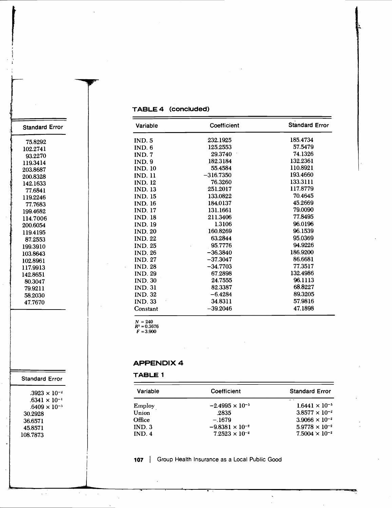| Variable       | Coefficient | <b>Standard Error</b> |
|----------------|-------------|-----------------------|
| IND.5          | 232.1925    | 185.4734              |
| IND.6          | 125.2553    | 57.5479               |
| IND.7          | 29.3740     | 74.1326               |
| IND.9          | 182.3184    | 132.2361              |
| <b>IND. 10</b> | 55.4584     | 110.8921              |
| <b>IND. 11</b> | $-316.7350$ | 193.4660              |
| <b>IND.</b> 12 | 76.3260     | 133.3111              |
| <b>IND. 13</b> | 251.2017    | 117.8779              |
| <b>IND. 15</b> | 133.0822    | 70.4645               |
| <b>IND.</b> 16 | 184.0137    | 45.2669               |
| <b>IND. 17</b> | 131.1661    | 79.0090               |
| <b>IND.</b> 18 | 211.3406    | 77.8495               |
| <b>IND. 19</b> | 1.3106      | 96.0196               |
| <b>IND. 20</b> | 160.8269    | 96.1539               |
| <b>IND. 22</b> | 63.2844     | 95.0369               |
| <b>IND. 25</b> | 95.7776     | 94.9226               |
| <b>IND. 26</b> | $-36.3840$  | 186.9200              |
| <b>IND. 27</b> | $-37.3047$  | 86.6681               |
| <b>IND. 28</b> | $-34.7703$  | 77.3517               |
| <b>IND. 29</b> | 67.2898     | 132.4986              |
| <b>IND. 30</b> | 24.7555     | 96.1113               |
| <b>IND. 31</b> | 82.3387     | 68.8227               |
| <b>IND. 32</b> | $-6.4284$   | 89.3205               |
| <b>IND. 33</b> | 34.8311     | 57.9816               |
| Constant       | $-39.2046$  | 47.1898               |

#### TABLE 4 (concluded)

 $N = 240$ <br> $R^2 = 0.3676$ <br> $F = 3.900$ 

#### APPENDIX 4

#### TABLE 1

| Variable | Coefficient              | <b>Standard Error</b>          |
|----------|--------------------------|--------------------------------|
| Employ   | $-2.4995 \times 10^{-5}$ | . .<br>$1.6441 \times 10^{-3}$ |
| Union    | .2835                    | $3.8577 \times 10^{-2}$        |
| Office   | $-.1679$                 | $3.9066 \times 10^{-2}$        |
| IND.3    | $-9.8381 \times 10^{-2}$ | $5.9778 \times 10^{-2}$        |
| IND.4    | $7.2523 \times 10^{-2}$  | $7.5004 \times 10^{-2}$        |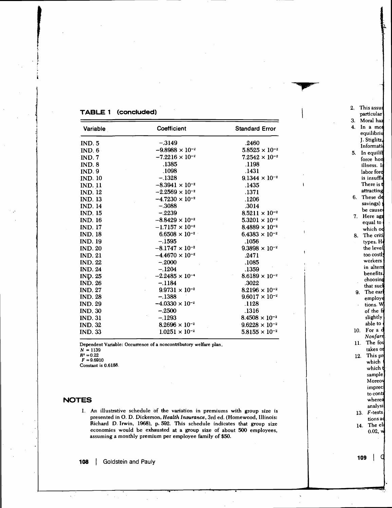| $-.3149$<br>.2460<br>$-9.8988 \times 10^{-2}$<br>$5.8525 \times 10^{-2}$<br>$-7.2216 \times 10^{-2}$<br>$7.2542 \times 10^{-2}$<br>.1385<br>.1198<br>.1098<br>.1431<br>$-.1328$<br>$9.1344 \times 10^{-2}$<br>$-8.3941 \times 10^{-2}$<br>.1435<br>$-2.2569 \times 10^{-2}$<br>.1371<br>$-4.7230 \times 10^{-2}$<br>.1206<br>$-.3088$<br>.3014<br>$-.2239$<br>$8.5211 \times 10^{-2}$<br>$-8.8429 \times 10^{-2}$<br>$5.3201 \times 10^{-2}$<br>$-1.7157 \times 10^{-2}$<br>$8.4889 \times 10^{-2}$<br>$6.6508 \times 10^{-2}$<br>$6.4383 \times 10^{-2}$<br>$-.1595$<br>.1056<br>$-8.1747 \times 10^{-2}$<br>$9.3898 \times 10^{-2}$<br>$-4.4670 \times 10^{-2}$<br>.2471<br>$-.2000$<br>.1085<br>$-.1204$<br>.1359<br>$-2.2485 \times 10^{-4}$<br>$8.6189 \times 10^{-2}$<br>$-.1184$<br>.3022<br>$9.9731 \times 10^{-2}$<br>$8.2196 \times 10^{-2}$<br>$-.1388$<br>$9.6017 \times 10^{-2}$<br>$-4.0330 \times 10^{-2}$<br>.1128<br>$-.2500$<br>.1316<br>$-.1293$<br>$8.4508 \times 10^{-2}$<br>$8.2696 \times 10^{-2}$<br>$9.6228 \times 10^{-2}$<br>$1.0251 \times 10^{-2}$<br>$5.8155 \times 10^{-2}$ | Variable       | Coefficient | <b>Standard Error</b> |
|------------------------------------------------------------------------------------------------------------------------------------------------------------------------------------------------------------------------------------------------------------------------------------------------------------------------------------------------------------------------------------------------------------------------------------------------------------------------------------------------------------------------------------------------------------------------------------------------------------------------------------------------------------------------------------------------------------------------------------------------------------------------------------------------------------------------------------------------------------------------------------------------------------------------------------------------------------------------------------------------------------------------------------------------------------------------------------------------------------|----------------|-------------|-----------------------|
|                                                                                                                                                                                                                                                                                                                                                                                                                                                                                                                                                                                                                                                                                                                                                                                                                                                                                                                                                                                                                                                                                                            | IND.5          |             |                       |
|                                                                                                                                                                                                                                                                                                                                                                                                                                                                                                                                                                                                                                                                                                                                                                                                                                                                                                                                                                                                                                                                                                            | IND.6          |             |                       |
|                                                                                                                                                                                                                                                                                                                                                                                                                                                                                                                                                                                                                                                                                                                                                                                                                                                                                                                                                                                                                                                                                                            | IND.7          |             |                       |
|                                                                                                                                                                                                                                                                                                                                                                                                                                                                                                                                                                                                                                                                                                                                                                                                                                                                                                                                                                                                                                                                                                            | IND.8          |             |                       |
|                                                                                                                                                                                                                                                                                                                                                                                                                                                                                                                                                                                                                                                                                                                                                                                                                                                                                                                                                                                                                                                                                                            | IND.9          |             |                       |
|                                                                                                                                                                                                                                                                                                                                                                                                                                                                                                                                                                                                                                                                                                                                                                                                                                                                                                                                                                                                                                                                                                            | <b>IND. 10</b> |             |                       |
|                                                                                                                                                                                                                                                                                                                                                                                                                                                                                                                                                                                                                                                                                                                                                                                                                                                                                                                                                                                                                                                                                                            | <b>IND. 11</b> |             |                       |
|                                                                                                                                                                                                                                                                                                                                                                                                                                                                                                                                                                                                                                                                                                                                                                                                                                                                                                                                                                                                                                                                                                            | <b>IND. 12</b> |             |                       |
|                                                                                                                                                                                                                                                                                                                                                                                                                                                                                                                                                                                                                                                                                                                                                                                                                                                                                                                                                                                                                                                                                                            | <b>IND. 13</b> |             |                       |
|                                                                                                                                                                                                                                                                                                                                                                                                                                                                                                                                                                                                                                                                                                                                                                                                                                                                                                                                                                                                                                                                                                            | <b>IND. 14</b> |             |                       |
|                                                                                                                                                                                                                                                                                                                                                                                                                                                                                                                                                                                                                                                                                                                                                                                                                                                                                                                                                                                                                                                                                                            | <b>IND. 15</b> |             |                       |
|                                                                                                                                                                                                                                                                                                                                                                                                                                                                                                                                                                                                                                                                                                                                                                                                                                                                                                                                                                                                                                                                                                            | <b>IND. 16</b> |             |                       |
|                                                                                                                                                                                                                                                                                                                                                                                                                                                                                                                                                                                                                                                                                                                                                                                                                                                                                                                                                                                                                                                                                                            | <b>IND. 17</b> |             |                       |
|                                                                                                                                                                                                                                                                                                                                                                                                                                                                                                                                                                                                                                                                                                                                                                                                                                                                                                                                                                                                                                                                                                            | <b>IND. 18</b> |             |                       |
|                                                                                                                                                                                                                                                                                                                                                                                                                                                                                                                                                                                                                                                                                                                                                                                                                                                                                                                                                                                                                                                                                                            | <b>IND. 19</b> |             |                       |
|                                                                                                                                                                                                                                                                                                                                                                                                                                                                                                                                                                                                                                                                                                                                                                                                                                                                                                                                                                                                                                                                                                            | <b>IND. 20</b> |             |                       |
|                                                                                                                                                                                                                                                                                                                                                                                                                                                                                                                                                                                                                                                                                                                                                                                                                                                                                                                                                                                                                                                                                                            | <b>IND. 21</b> |             |                       |
|                                                                                                                                                                                                                                                                                                                                                                                                                                                                                                                                                                                                                                                                                                                                                                                                                                                                                                                                                                                                                                                                                                            | <b>IND. 22</b> |             |                       |
|                                                                                                                                                                                                                                                                                                                                                                                                                                                                                                                                                                                                                                                                                                                                                                                                                                                                                                                                                                                                                                                                                                            | <b>IND. 24</b> |             |                       |
|                                                                                                                                                                                                                                                                                                                                                                                                                                                                                                                                                                                                                                                                                                                                                                                                                                                                                                                                                                                                                                                                                                            | IND. 25        |             |                       |
|                                                                                                                                                                                                                                                                                                                                                                                                                                                                                                                                                                                                                                                                                                                                                                                                                                                                                                                                                                                                                                                                                                            | <b>IND. 26</b> |             |                       |
|                                                                                                                                                                                                                                                                                                                                                                                                                                                                                                                                                                                                                                                                                                                                                                                                                                                                                                                                                                                                                                                                                                            | <b>IND. 27</b> |             |                       |
|                                                                                                                                                                                                                                                                                                                                                                                                                                                                                                                                                                                                                                                                                                                                                                                                                                                                                                                                                                                                                                                                                                            | <b>IND. 28</b> |             |                       |
|                                                                                                                                                                                                                                                                                                                                                                                                                                                                                                                                                                                                                                                                                                                                                                                                                                                                                                                                                                                                                                                                                                            | <b>IND. 29</b> |             |                       |
|                                                                                                                                                                                                                                                                                                                                                                                                                                                                                                                                                                                                                                                                                                                                                                                                                                                                                                                                                                                                                                                                                                            | <b>IND. 30</b> |             |                       |
|                                                                                                                                                                                                                                                                                                                                                                                                                                                                                                                                                                                                                                                                                                                                                                                                                                                                                                                                                                                                                                                                                                            | <b>IND. 31</b> |             |                       |
|                                                                                                                                                                                                                                                                                                                                                                                                                                                                                                                                                                                                                                                                                                                                                                                                                                                                                                                                                                                                                                                                                                            | <b>IND. 32</b> |             |                       |
|                                                                                                                                                                                                                                                                                                                                                                                                                                                                                                                                                                                                                                                                                                                                                                                                                                                                                                                                                                                                                                                                                                            | <b>IND. 33</b> |             |                       |

#### TABLE 1 (concluded)

Dependent Variable: Occurrence of a noncontributory welfare plan.  $N = 1139$ 

 $R^2 = 0.22$ 

 $F = 9.6910$ 

Constant is 0.6188.

#### **NOTES**

1. An illustrative schedule of the variation in premiums with group size is presented in 0. D. Dickerson, Health Insurance, 3rd ed. (Homewood, Illinois: Richard D. Irwin, 1968), p. 592. This schedule indicates that group size economies would be exhausted at a group size of about 500 employees, assuming a monthly premium per employee family of \$50.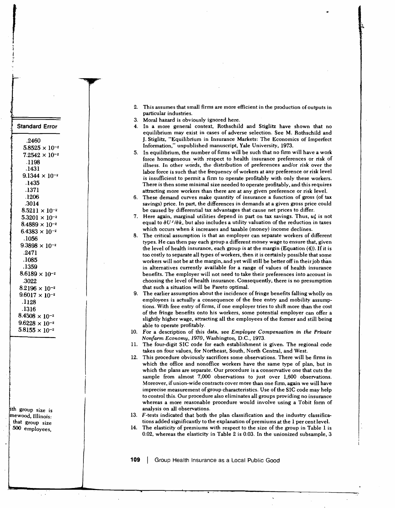- 2. This assumes that small firms are more efficient in the production of outputs in particular industries.
- 3. Moral hazard is obviously ignored here.
- 4. In a more general context, Rothschild and Stiglitz have shown that no equilibrium may exist in cases of adverse selection. See M. Rothschild and J. Stiglitz, "Equilibrium in Insurance Markets: The Economics of Imperfect Information," unpublished manuscript, Yale University, 1973.
- 5. In equilibrium, the number of firms will be such that no firm will have a work force homogeneous with respect to health insurance preferences or risk of illness, in other words, the distribution of preferences and/or risk over the labor force is such that the frequency of workers at any preference or risk level is insufficient to permit a firm to operate profitably with only these workers. There is then some minimal size needed to operate profitably, and this requires attracting more workers than there are at any given preference or risk level.
- 6. These demand curves make quantity of insurance a function of gross (of tax savings) price. In part, the differences in demands at a given gross price could be caused by differential tax advantages that cause net prices to differ.
- 7. Here again, marginal utilities depend in part on tax savings. Thus,  $u_k^j$  is not equal to  $\partial U^j/\partial k$ , but also includes a utility valuation of the reduction in taxes which occurs when  $k$  increases and taxable (money) income declines.
- 8. The critical assumption is that an employer can separate workers of different types. He can then pay each group a different money wage to ensure that, given the level of health insurance, each group is at the margin (Equation (4)). if it is too costly to separate all types of workers, then it is certainly possible that some workers will not be at the margin, and yet will still be better off in their job than in alternatives currently available for a range of values of health insurance benefits. The employer will not need to take their preferences into account in choosing the level of health insurance. Consequently, there is no presumption that such a situation will be Pareto optimal.
- 9. The earlier assumption about the incidence of fringe benefits falling wholly on employees is actually a consequence of the free entry and mobility assumptions. With free entry of firms, if one employer tries to shift more than the cost of the fringe benefits onto his workers, some potential employer can offer a slightly higher wage, attracting all the employees of the former and still being able to operate profitably.
- 10. For a description of this data, see Employee Compensation in the Private Nonfarm Economy, 1970, Washington, D.C., 1973.
- 11. The four-digit SIC code for each establishment is given. The regional code takes on four values, for Northeast, South, North Central, and West.
- 12. This procedure obviously sacrifices some observations. There will be firms in which the office and nonoffice workers have the same type of plan, but in which the plans are separate. Our procedure is a conservative one that cuts the sample from almost 7,000 observations to just over 1,600 observations. Moreover, if union-wide contracts cover more than one firm, again we will have imprecise measurement of group characteristics. Use of the SIC code may help to control this. Our procedure also eliminates all groups providing no insurance whereas a more reasonable procedure would involve using a Tobit form of analysis on all observations.
- 13. F-tests indicated that both the plan classification and the industry classifications added significantly to the explanation of premiums at the 1 per cent level.
- 14. The elasticity of premiums with respect to the size of the group in Table 1 is 0.02, whereas the elasticity in Table 2 is 0.03. In the unionized subsample, 3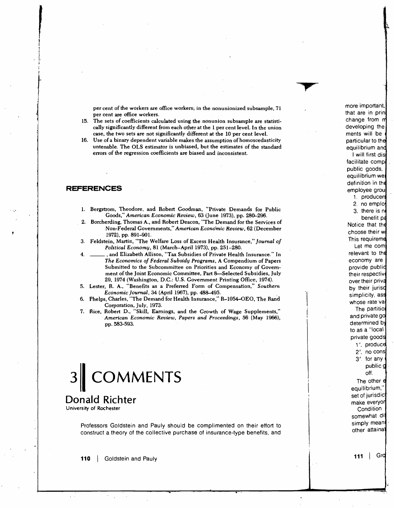per cent of the workers are office workers; in the nonunionized subsample, 71 per cent are office workers.

- 15. The sets of coefficients calculated using the nonunion subsample are statistically significantly different from each other at the 1 per cent level. In the union case, the two sets are not significantly different at the 10 per cent level.
- 16. Use of a binary dependent variable makes the assumption of homoscedasticity untenable. The OLS estimator is unbiased, but the estimates of the standard errors of the regression coefficients are biased and inconsistent.

#### definition in the REFERENCES employee group in the Reference group in the Reference group in the Reference group

- 1. Bergstrom, Theodore, and Robert Goodman, "Private Demands for Public Goods," American Economic Review, 63 (June 1973), pp. 280-296.
- 2. Borcherding, Thomas A., and Robert Deacon, "The Demand for the Services of Non-Federal Governments," American Economic Review, 62 (December 1972), pp. 891-901. 1972), pp. 891–901.
- 3. Feldstein, Martin, "The Welfare Loss of Excess Health Insurance," Journal of Political Economy, 81 (March-April 1973), pp.  $251-280$ .
- 4. , and Elizabeth Allison, "Tax Subsidies of Private Health Insurance." In The Economics of Federal Subsidy Programs, A Compendium of Papers Submitted to the Subcommittee on Priorities and Economy of Government of the Joint Economic Committee, Part 8-Selected Subsidies, July 29, 1974 (Washington, D.C.: U.S. Government Printing Office, 1974).
- 5. Lester, R. A., "Benefits as a Preferred Form of Compensation," Southern Economic Journal, 34 (April 1967), pp. 488–495.
- 6. Phelps, Charles, "The Demand for Health Insurance," R-1054-OEO, The Rand Corporation, July, 1973.
- 7. Rice, Robert D., "Skill, Earnings, and the Growth of Wage Supplements," American Economic Review, Papers and Proceedings, 56 (May 1966),  $pp. 583-593.$ determined by the set of  $\sim$

## 3 COMMENTS

#### Donald Richter

University of Rochester

Professors Goldstein and Pauly should be complimented on their effort to construct a theory of the collective purchase of insurance-type benefits, and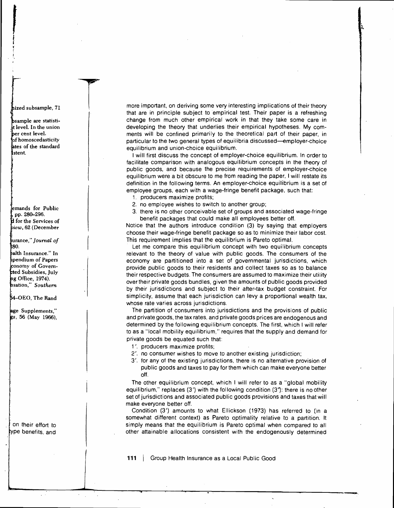more important, on deriving some very interesting implications of their theory that are in principle subject to empirical test. Their paper is a refreshing change from much other empirical work in that they take some care in developing the theory that underlies their empirical hypotheses. My comments will be confined primarily to the theoretical part of their paper, in particular to the two general types of equilibria discussed—employer-choice equilibrium and union-choice equilibrium.

I will first discuss the concept of employer-choice equilibrium. In order to facilitate comparison with analogous equilibrium concepts in the theory of public goods, and because the precise requirements of employer-choice equilibrium were a bit obscure to me from reading the paper, I will restate its definition in the following terms. An employer-choice equilibrium is a set of employee groups, each with a wage-fringe benefit package, such that:

1. producers maximize profits;

ted Subsidies, July

 $\overline{a}$  $\vert$ 

- 2. no employee wishes to switch to another group;
- 3. there is no other conceivable set of groups and associated wage-fringe benefit packages that could make all employees better off.

Notice that the authors introduce condition (3) by saying that employers choose their wage-fringe benefit package so as to minimize their labor cost. This requirement implies that the equilibrium is Pareto optimal.

Let me compare this equilibrium concept with two equilibrium concepts relevant to the theory of value with public goods. The consumers of the economy are partitioned into a set of governmental jurisdictions, which provide public goods to their residents and collect taxes so as to balance their respective budgets. The consumers are assumed to maximize their utility over their private goods bundles, given the amounts of public goods provided by their jurisdictions and subject to their after-tax budget constraint. For simplicity, assume that each jurisdiction can levy a proportional wealth tax, whose rate varies across jurisdictions.

The partition of consumers into jurisdictions and the provisions of public and private goods, the tax rates, and private goods prices are endogenous and determined by the following equilibrium concepts. The first, which I will refer to as a "local mobility equilibrium," requires that the supply and demand for private goods be equated such that:

- 1'. producers maximize profits;
- 2'. no consumer wishes to move to another existing jurisdiction;
- 3'. for any of the existing jurisdictions, there is no alternative provision of public goods and taxes to pay for them which can make everyone better off.

The other equilibrium concept, which I will refer to as a "global mobility equilibrium," replaces (3') with the following condition (3"): there is no other set of jurisdictions and associated public goods provisions and taxes that will make everyone better off.

Condition (3') amounts to what Ellickson (1973) has referred to (in a somewhat different context) as Pareto optimality relative to a partition. It simply means that the equilibrium is Pareto optimal when compared to all other attainable allocations consistent with the endogenously determined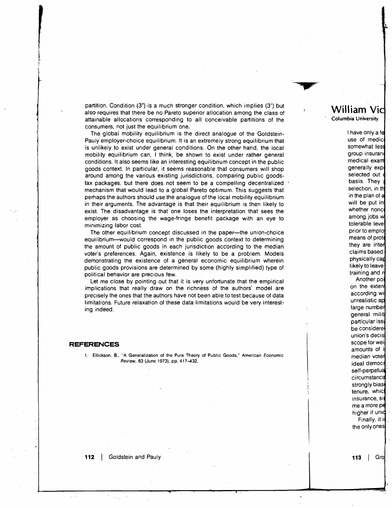partition. Condition (3") is a much stronger condition, which implies (3') but also requires that there be no Pareto superior allocation among the class of attainable allocations corresponding to all conceivable partitions of the consumers, not just the equilibrium one.

The global mobility equilibrium is the direct analogue of the Goldstein-Pauly' employer-choice equilibrium. It is an extremely strong equilibrium that is unlikely to exist under general conditions. On the other hand, the local mobility equilibrium can, I think, be shown to exist under rather general conditions. It also seems like an interesting equilibrium concept in the public goods context. In particular, it seems reasonable that consumers will shop around among the various existing jurisdictions, comparing public goodstax packages, but there does not seem to be a compelling decentralized mechanism that would lead to a global Pareto optimum. This suggests that perhaps the authors should use the analogue of the local mobility equilibrium in their arguments. The advantage is that their equilibrium is then likely to exist. The disadvantage is that one loses the interpretation that sees the employer as choosing the wage-fringe benefit package with an eye to minimizing labor cost.

The other equilibrium concept discussed in the paper—the union-choice equilibrium—would correspond in the public goods context to determining the amount of public goods in each jurisdiction according to the median voter's preferences. Again, existence is likely to be a problem. Models demonstrating the existence of a general economic equilibrium wherein public goods provisions are determined by some (highly simplified) type of political behavior are precious few.

Let me close by pointing out that it is very unfortunate that the empirical implications that really draw on the richness of the authors' model are precisely the ones that the authors have not been able to test because of data limitations. Future relaxation of these data limitations would be very interesting indeed, and the state of the state of the state of the state of the state of the state of the state of the

#### REFERENCES scope for weight for weight and weight for weight  $\sim$

1. Ellickson, B., "A Generalization of the Pure Theory of Public Goods," American Economic Review, 63 (June 1973), pp. 417-432.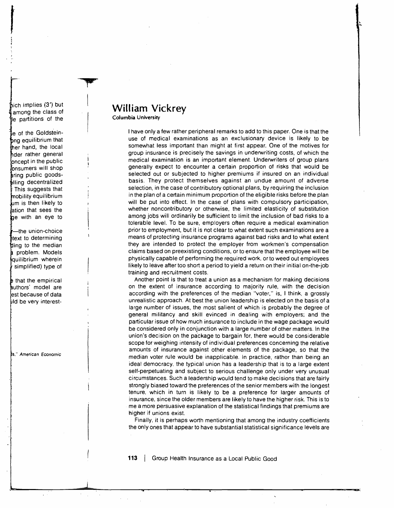#### William Vickrey

Columbia University

 $\Box$ 

Dncept in the public  $\mathcal{L}_{\mathcal{D}}$ 

nobility equilibrium in  $\mathbf{r}$ ition that sees the  $\pm$ 

 $\mathcal{L}$ text to determining

 $\pm$ 

uthors' model are est because of data

I have only a few rather peripheral remarks to add to this paper. One is that the use of medical examinations as an exclusionary device is likely to be somewhat less important than might at first appear. One of the motives for group insurance is precisely the savings in underwriting costs, of which the medical examination is an important element. Underwriters of group plans generally expect to encounter a certain proportion of risks that would be selected out or subjected to higher premiums if insured on an individual basis. They protect themselves against an undue amount of adverse selection, in the case of contributory optional plans, by requiring the inclusion in the plan of a certain minimum proportion of the eligible risks before the plan will be put into effect. In the case of plans with compulsory participation, whether noncontributory or otherwise, the limited elasticity of substitution among jobs will ordinarily be sufficient to limit the inclusion of bad risks to a tolerable level. To be sure, employers often require a medical examination prior to employment, but it is not clear to what extent such examinations are a means of protecting insurance programs against bad risks and to what extent they are intended to protect the employer from workmen's compensation claims based on preexisting conditions, or to ensure that the employee will be physically capable of performing the required work, or to weed out employees likely to leave after too short a period to yield a return on their initial on-the-job training and recruitment costs.

Another point is that to treat a union as a mechanism for making decisions on the extent of insurance according to majority rule, with the decision according with the preferences of the median "voter," is, <sup>I</sup> think, a grossly unrealistic approach. At best the union leadership is elected on the basis of a large number of issues, the most salient of which is probably the degree of general militancy and skill evinced in dealing with employers; and the particular issue of how much insurance to include in the wage package would be considered only in conjunction with a large number of other matters, In the union's decision on the package to bargain for, there would be considerable scope for weighing intensity of individual preferences concerning the relative amounts of insurance against other elements of the package, so that the median voter rule would be inapplicable. In practice, rather than being an ideal democracy, the typical union has a leadership that is to a large extent self-perpetuating and subject to serious challenge only under very unusual circumstances. Such a leadership would tend to make decisions that are fairly strongly biased toward the preferences of the senior members with the longest tenure, which in turn is likely to be a preference for larger amounts of insurance, since the older members are likely to have the higher risk. This is to me a more persuasive explanation of the statistical findings that premiums are higher if unions exist.

Finally, it is perhaps worth mentioning that among the industry coefficients the only ones that appear to have substantial statistical significance levels are